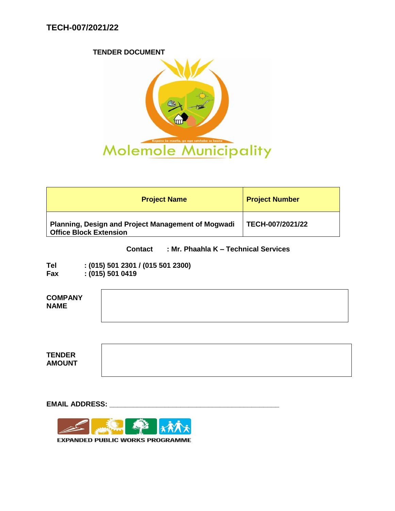#### **TENDER DOCUMENT**



| <b>Project Name</b>                                                                 | <b>Project Number</b> |
|-------------------------------------------------------------------------------------|-----------------------|
| Planning, Design and Project Management of Mogwadi<br><b>Office Block Extension</b> | TECH-007/2021/22      |

### **Contact : Mr. Phaahla K – Technical Services**

| Tel | $:(015)$ 501 2301 / (015 501 2300) |
|-----|------------------------------------|
| Fax | : (015) 501 0419                   |

| <b>COMPANY</b><br><b>NAME</b>  |  |
|--------------------------------|--|
|                                |  |
| <b>TENDER</b><br><b>AMOUNT</b> |  |

**EMAIL ADDRESS: \_\_\_\_\_\_\_\_\_\_\_\_\_\_\_\_\_\_\_\_\_\_\_\_\_\_\_\_\_\_\_\_\_\_\_\_\_\_\_\_\_\_\_**



**EXPANDED PUBLIC WORKS PROGRAMME**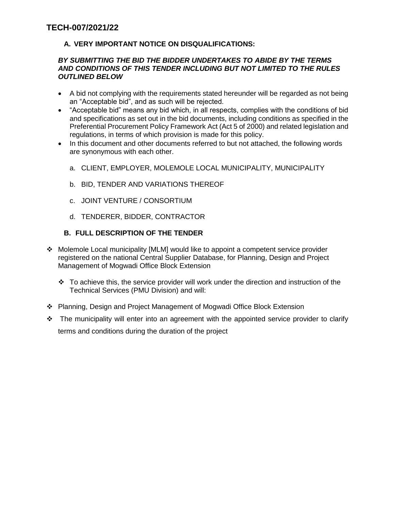## **A. VERY IMPORTANT NOTICE ON DISQUALIFICATIONS:**

#### *BY SUBMITTING THE BID THE BIDDER UNDERTAKES TO ABIDE BY THE TERMS AND CONDITIONS OF THIS TENDER INCLUDING BUT NOT LIMITED TO THE RULES OUTLINED BELOW*

- A bid not complying with the requirements stated hereunder will be regarded as not being an "Acceptable bid", and as such will be rejected.
- "Acceptable bid" means any bid which, in all respects, complies with the conditions of bid and specifications as set out in the bid documents, including conditions as specified in the Preferential Procurement Policy Framework Act (Act 5 of 2000) and related legislation and regulations, in terms of which provision is made for this policy.
- In this document and other documents referred to but not attached, the following words are synonymous with each other.
	- a. CLIENT, EMPLOYER, MOLEMOLE LOCAL MUNICIPALITY, MUNICIPALITY
	- b. BID, TENDER AND VARIATIONS THEREOF
	- c. JOINT VENTURE / CONSORTIUM
	- d. TENDERER, BIDDER, CONTRACTOR

### **B. FULL DESCRIPTION OF THE TENDER**

- Molemole Local municipality [MLM] would like to appoint a competent service provider registered on the national Central Supplier Database, for Planning, Design and Project Management of Mogwadi Office Block Extension
	- $\cdot \cdot$  To achieve this, the service provider will work under the direction and instruction of the Technical Services (PMU Division) and will:
- Planning, Design and Project Management of Mogwadi Office Block Extension
- $\cdot \cdot$  The municipality will enter into an agreement with the appointed service provider to clarify terms and conditions during the duration of the project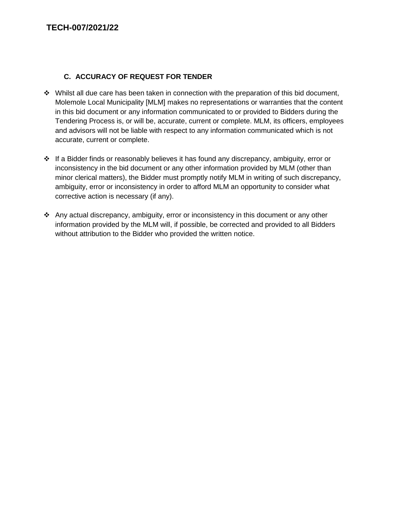# **C. ACCURACY OF REQUEST FOR TENDER**

- $\cdot \cdot$  Whilst all due care has been taken in connection with the preparation of this bid document, Molemole Local Municipality [MLM] makes no representations or warranties that the content in this bid document or any information communicated to or provided to Bidders during the Tendering Process is, or will be, accurate, current or complete. MLM, its officers, employees and advisors will not be liable with respect to any information communicated which is not accurate, current or complete.
- $\cdot \cdot$  If a Bidder finds or reasonably believes it has found any discrepancy, ambiguity, error or inconsistency in the bid document or any other information provided by MLM (other than minor clerical matters), the Bidder must promptly notify MLM in writing of such discrepancy, ambiguity, error or inconsistency in order to afford MLM an opportunity to consider what corrective action is necessary (if any).
- Any actual discrepancy, ambiguity, error or inconsistency in this document or any other information provided by the MLM will, if possible, be corrected and provided to all Bidders without attribution to the Bidder who provided the written notice.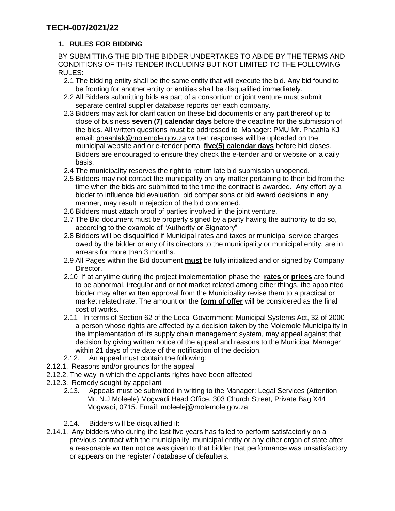# **1. RULES FOR BIDDING**

BY SUBMITTING THE BID THE BIDDER UNDERTAKES TO ABIDE BY THE TERMS AND CONDITIONS OF THIS TENDER INCLUDING BUT NOT LIMITED TO THE FOLLOWING RULES:

- 2.1 The bidding entity shall be the same entity that will execute the bid. Any bid found to be fronting for another entity or entities shall be disqualified immediately.
- 2.2 All Bidders submitting bids as part of a consortium or joint venture must submit separate central supplier database reports per each company.
- 2.3 Bidders may ask for clarification on these bid documents or any part thereof up to close of business **seven (7) calendar days** before the deadline for the submission of the bids. All written questions must be addressed to Manager: PMU Mr. Phaahla KJ email: [phaahlak@molemole.gov.za](mailto:phaahlak@molemole.gov.za) written responses will be uploaded on the municipal website and or e-tender portal **five(5) calendar days** before bid closes. Bidders are encouraged to ensure they check the e-tender and or website on a daily basis.
- 2.4 The municipality reserves the right to return late bid submission unopened.
- 2.5 Bidders may not contact the municipality on any matter pertaining to their bid from the time when the bids are submitted to the time the contract is awarded. Any effort by a bidder to influence bid evaluation, bid comparisons or bid award decisions in any manner, may result in rejection of the bid concerned.
- 2.6 Bidders must attach proof of parties involved in the joint venture.
- 2.7 The Bid document must be properly signed by a party having the authority to do so, according to the example of "Authority or Signatory"
- 2.8 Bidders will be disqualified if Municipal rates and taxes or municipal service charges owed by the bidder or any of its directors to the municipality or municipal entity, are in arrears for more than 3 months.
- 2.9 All Pages within the Bid document **must** be fully initialized and or signed by Company Director.
- 2.10 If at anytime during the project implementation phase the **rates** or **prices** are found to be abnormal, irregular and or not market related among other things, the appointed bidder may after written approval from the Municipality revise them to a practical or market related rate. The amount on the **form of offer** will be considered as the final cost of works.
- 2.11 In terms of Section 62 of the Local Government: Municipal Systems Act, 32 of 2000 a person whose rights are affected by a decision taken by the Molemole Municipality in the implementation of its supply chain management system, may appeal against that decision by giving written notice of the appeal and reasons to the Municipal Manager within 21 days of the date of the notification of the decision.
- 2.12. An appeal must contain the following:
- 2.12.1. Reasons and/or grounds for the appeal
- 2.12.2. The way in which the appellants rights have been affected
- 2.12.3. Remedy sought by appellant
	- 2.13. Appeals must be submitted in writing to the Manager: Legal Services (Attention Mr. N.J Moleele) Mogwadi Head Office, 303 Church Street, Private Bag X44 Mogwadi, 0715. Email: moleelej@molemole.gov.za
	- 2.14. Bidders will be disqualified if:
- 2.14.1. Any bidders who during the last five years has failed to perform satisfactorily on a previous contract with the municipality, municipal entity or any other organ of state after a reasonable written notice was given to that bidder that performance was unsatisfactory or appears on the register / database of defaulters.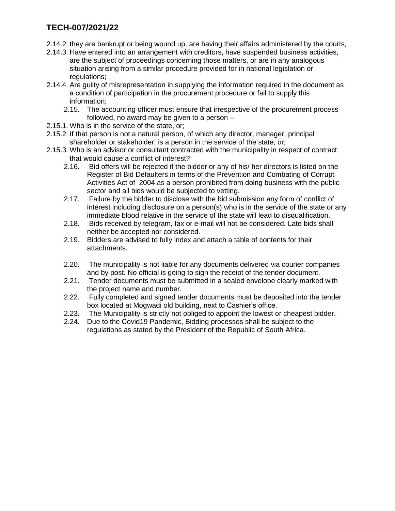- 2.14.2. they are bankrupt or being wound up, are having their affairs administered by the courts,
- 2.14.3. Have entered into an arrangement with creditors, have suspended business activities, are the subject of proceedings concerning those matters, or are in any analogous situation arising from a similar procedure provided for in national legislation or regulations;
- 2.14.4. Are guilty of misrepresentation in supplying the information required in the document as a condition of participation in the procurement procedure or fail to supply this information;
	- 2.15. The accounting officer must ensure that irrespective of the procurement process followed, no award may be given to a person –
- 2.15.1. Who is in the service of the state, or;
- 2.15.2. If that person is not a natural person, of which any director, manager, principal shareholder or stakeholder, is a person in the service of the state; or;
- 2.15.3. Who is an advisor or consultant contracted with the municipality in respect of contract that would cause a conflict of interest?
	- 2.16. Bid offers will be rejected if the bidder or any of his/ her directors is listed on the Register of Bid Defaulters in terms of the Prevention and Combating of Corrupt Activities Act of 2004 as a person prohibited from doing business with the public sector and all bids would be subjected to vetting.
	- 2.17. Failure by the bidder to disclose with the bid submission any form of conflict of interest including disclosure on a person(s) who is in the service of the state or any immediate blood relative in the service of the state will lead to disqualification.
	- 2.18. Bids received by telegram, fax or e-mail will not be considered. Late bids shall neither be accepted nor considered.
	- 2.19. Bidders are advised to fully index and attach a table of contents for their attachments.
	- 2.20. The municipality is not liable for any documents delivered via courier companies and by post. No official is going to sign the receipt of the tender document.
	- 2.21. Tender documents must be submitted in a sealed envelope clearly marked with the project name and number.
	- 2.22. Fully completed and signed tender documents must be deposited into the tender box located at Mogwadi old building, next to Cashier's office.
	- 2.23. The Municipality is strictly not obliged to appoint the lowest or cheapest bidder.
	- 2.24. Due to the Covid19 Pandemic, Bidding processes shall be subject to the regulations as stated by the President of the Republic of South Africa.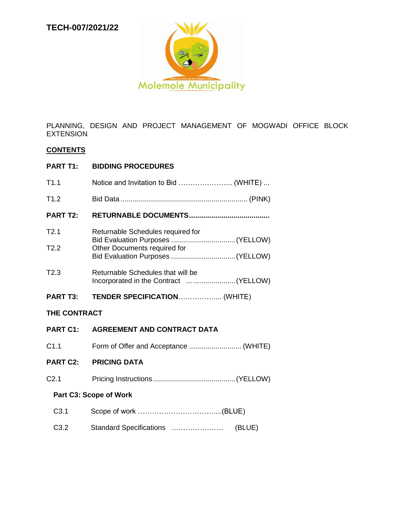

PLANNING, DESIGN AND PROJECT MANAGEMENT OF MOGWADI OFFICE BLOCK EXTENSION

#### **CONTENTS**

### **PART T1: BIDDING PROCEDURES**

| T1.1                | Notice and Invitation to Bid  (WHITE) |  |
|---------------------|---------------------------------------|--|
| T1.2                |                                       |  |
| <b>PART T2:</b>     |                                       |  |
| T2.1                | Returnable Schedules required for     |  |
| T2.2                | Other Documents required for          |  |
| T <sub>2.3</sub>    | Returnable Schedules that will be     |  |
| <b>PART T3:</b>     | TENDER SPECIFICATION (WHITE)          |  |
| <b>THE CONTRACT</b> |                                       |  |

# **PART C1: AGREEMENT AND CONTRACT DATA** C1.1 Form of Offer and Acceptance .......................... (WHITE) **PART C2: PRICING DATA** C2.1 Pricing Instructions.........................................(YELLOW) **Part C3: Scope of Work** C3.1 C3.2 Scope of work ……………………………...(BLUE) Standard Specifications …………………. (BLUE)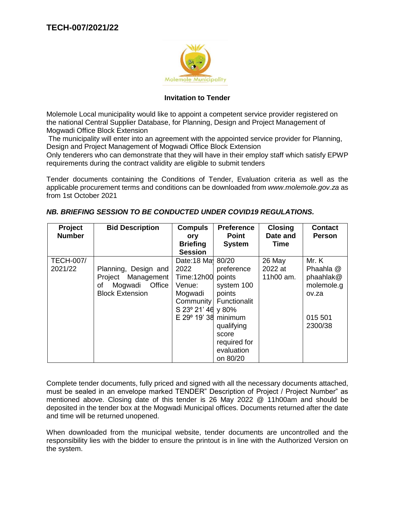

### **Invitation to Tender**

Molemole Local municipality would like to appoint a competent service provider registered on the national Central Supplier Database, for Planning, Design and Project Management of Mogwadi Office Block Extension

The municipality will enter into an agreement with the appointed service provider for Planning, Design and Project Management of Mogwadi Office Block Extension

Only tenderers who can demonstrate that they will have in their employ staff which satisfy EPWP requirements during the contract validity are eligible to submit tenders

Tender documents containing the Conditions of Tender, Evaluation criteria as well as the applicable procurement terms and conditions can be downloaded from *www.molemole.gov.za* as from 1st October 2021

| Project<br><b>Number</b> | <b>Bid Description</b>  | <b>Compuls</b><br>ory           | <b>Preference</b><br><b>Point</b> | <b>Closing</b><br>Date and | <b>Contact</b><br><b>Person</b> |
|--------------------------|-------------------------|---------------------------------|-----------------------------------|----------------------------|---------------------------------|
|                          |                         | <b>Briefing</b>                 | <b>System</b>                     | Time                       |                                 |
|                          |                         | <b>Session</b>                  |                                   |                            |                                 |
| <b>TECH-007/</b>         |                         | Date:18 Ma <sub>1</sub> 80/20   |                                   | 26 May                     | Mr. K                           |
| 2021/22                  | Planning, Design and    | 2022                            | preference                        | 2022 at                    | Phaahla @                       |
|                          | Project Management      | Time:12h00                      | points                            | 11h00 am.                  | phaahlak@                       |
|                          | Office<br>Mogwadi<br>οf | Venue:                          | system 100                        |                            | molemole.g                      |
|                          | <b>Block Extension</b>  | Mogwadi                         | points                            |                            | ov.za                           |
|                          |                         |                                 | Community Functionalit            |                            |                                 |
|                          |                         | S 23° 21' 46 y 80%              |                                   |                            |                                 |
|                          |                         | $E$ 29 $\degree$ 19' 38 minimum |                                   |                            | 015 501                         |
|                          |                         |                                 | qualifying                        |                            | 2300/38                         |
|                          |                         |                                 | score                             |                            |                                 |
|                          |                         |                                 | required for                      |                            |                                 |
|                          |                         |                                 | evaluation                        |                            |                                 |
|                          |                         |                                 | on 80/20                          |                            |                                 |

### *NB. BRIEFING SESSION TO BE CONDUCTED UNDER COVID19 REGULATIONS.*

Complete tender documents, fully priced and signed with all the necessary documents attached, must be sealed in an envelope marked TENDER" Description of Project / Project Number" as mentioned above. Closing date of this tender is 26 May 2022 @ 11h00am and should be deposited in the tender box at the Mogwadi Municipal offices. Documents returned after the date and time will be returned unopened.

When downloaded from the municipal website, tender documents are uncontrolled and the responsibility lies with the bidder to ensure the printout is in line with the Authorized Version on the system.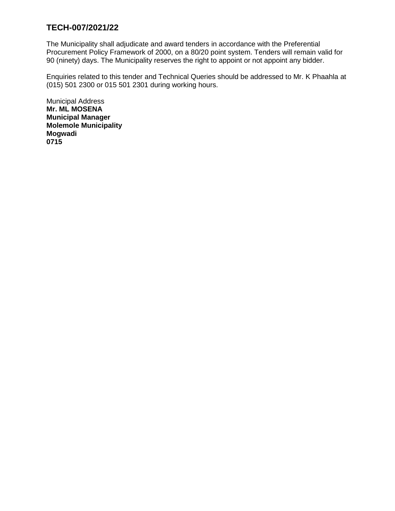The Municipality shall adjudicate and award tenders in accordance with the Preferential Procurement Policy Framework of 2000, on a 80/20 point system. Tenders will remain valid for 90 (ninety) days. The Municipality reserves the right to appoint or not appoint any bidder.

Enquiries related to this tender and Technical Queries should be addressed to Mr. K Phaahla at (015) 501 2300 or 015 501 2301 during working hours.

Municipal Address **Mr. ML MOSENA Municipal Manager Molemole Municipality Mogwadi 0715**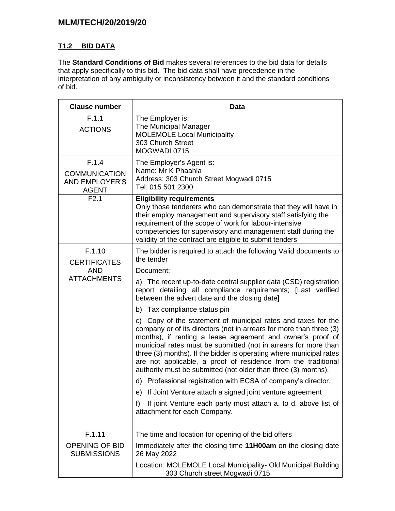# **MLM/TECH/20/2019/20**

# **T1.2 BID DATA**

The **Standard Conditions of Bid** makes several references to the bid data for details that apply specifically to this bid. The bid data shall have precedence in the interpretation of any ambiguity or inconsistency between it and the standard conditions of bid.

| <b>Clause number</b>                                                   | <b>Data</b>                                                                                                                                                                                                                                                                                                                                                                                                                                                                     |  |
|------------------------------------------------------------------------|---------------------------------------------------------------------------------------------------------------------------------------------------------------------------------------------------------------------------------------------------------------------------------------------------------------------------------------------------------------------------------------------------------------------------------------------------------------------------------|--|
| F.1.1<br><b>ACTIONS</b>                                                | The Employer is:<br>The Municipal Manager<br><b>MOLEMOLE Local Municipality</b><br>303 Church Street<br>MOGWADI 0715                                                                                                                                                                                                                                                                                                                                                            |  |
| F.1.4<br><b>COMMUNICATION</b><br><b>AND EMPLOYER'S</b><br><b>AGENT</b> | The Employer's Agent is:<br>Name: Mr K Phaahla<br>Address: 303 Church Street Mogwadi 0715<br>Tel: 015 501 2300                                                                                                                                                                                                                                                                                                                                                                  |  |
| F2.1                                                                   | <b>Eligibility requirements</b><br>Only those tenderers who can demonstrate that they will have in<br>their employ management and supervisory staff satisfying the<br>requirement of the scope of work for labour-intensive<br>competencies for supervisory and management staff during the<br>validity of the contract are eligible to submit tenders                                                                                                                          |  |
| F.1.10<br><b>CERTIFICATES</b><br><b>AND</b>                            | The bidder is required to attach the following Valid documents to<br>the tender<br>Document:                                                                                                                                                                                                                                                                                                                                                                                    |  |
| <b>ATTACHMENTS</b>                                                     | a) The recent up-to-date central supplier data (CSD) registration<br>report detailing all compliance requirements; [Last verified<br>between the advert date and the closing date]                                                                                                                                                                                                                                                                                              |  |
|                                                                        | b) Tax compliance status pin                                                                                                                                                                                                                                                                                                                                                                                                                                                    |  |
|                                                                        | c) Copy of the statement of municipal rates and taxes for the<br>company or of its directors (not in arrears for more than three (3)<br>months), if renting a lease agreement and owner's proof of<br>municipal rates must be submitted (not in arrears for more than<br>three (3) months). If the bidder is operating where municipal rates<br>are not applicable, a proof of residence from the traditional<br>authority must be submitted (not older than three (3) months). |  |
|                                                                        | d) Professional registration with ECSA of company's director.                                                                                                                                                                                                                                                                                                                                                                                                                   |  |
|                                                                        | e) If Joint Venture attach a signed joint venture agreement                                                                                                                                                                                                                                                                                                                                                                                                                     |  |
|                                                                        | If joint Venture each party must attach a. to d. above list of<br>f)<br>attachment for each Company.                                                                                                                                                                                                                                                                                                                                                                            |  |
| F.1.11                                                                 | The time and location for opening of the bid offers                                                                                                                                                                                                                                                                                                                                                                                                                             |  |
| <b>OPENING OF BID</b><br><b>SUBMISSIONS</b>                            | Immediately after the closing time 11H00am on the closing date<br>26 May 2022                                                                                                                                                                                                                                                                                                                                                                                                   |  |
|                                                                        | Location: MOLEMOLE Local Municipality- Old Municipal Building<br>303 Church street Mogwadi 0715                                                                                                                                                                                                                                                                                                                                                                                 |  |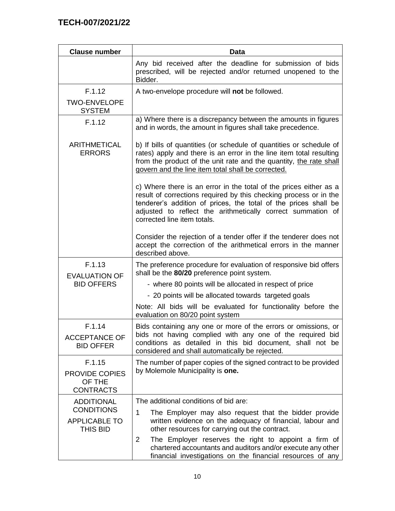| <b>Clause number</b>                                   | Data                                                                                                                                                                                                                                                                                                    |  |  |
|--------------------------------------------------------|---------------------------------------------------------------------------------------------------------------------------------------------------------------------------------------------------------------------------------------------------------------------------------------------------------|--|--|
|                                                        | Any bid received after the deadline for submission of bids<br>prescribed, will be rejected and/or returned unopened to the<br>Bidder.                                                                                                                                                                   |  |  |
| F.1.12                                                 | A two-envelope procedure will not be followed.                                                                                                                                                                                                                                                          |  |  |
| <b>TWO-ENVELOPE</b><br><b>SYSTEM</b>                   |                                                                                                                                                                                                                                                                                                         |  |  |
| F.1.12                                                 | a) Where there is a discrepancy between the amounts in figures<br>and in words, the amount in figures shall take precedence.                                                                                                                                                                            |  |  |
| <b>ARITHMETICAL</b><br><b>ERRORS</b>                   | b) If bills of quantities (or schedule of quantities or schedule of<br>rates) apply and there is an error in the line item total resulting<br>from the product of the unit rate and the quantity, the rate shall<br>govern and the line item total shall be corrected.                                  |  |  |
|                                                        | c) Where there is an error in the total of the prices either as a<br>result of corrections required by this checking process or in the<br>tenderer's addition of prices, the total of the prices shall be<br>adjusted to reflect the arithmetically correct summation of<br>corrected line item totals. |  |  |
|                                                        | Consider the rejection of a tender offer if the tenderer does not<br>accept the correction of the arithmetical errors in the manner<br>described above.                                                                                                                                                 |  |  |
| F.1.13<br><b>EVALUATION OF</b>                         | The preference procedure for evaluation of responsive bid offers<br>shall be the 80/20 preference point system.                                                                                                                                                                                         |  |  |
| <b>BID OFFERS</b>                                      | - where 80 points will be allocated in respect of price                                                                                                                                                                                                                                                 |  |  |
|                                                        | - 20 points will be allocated towards targeted goals                                                                                                                                                                                                                                                    |  |  |
|                                                        | Note: All bids will be evaluated for functionality before the<br>evaluation on 80/20 point system                                                                                                                                                                                                       |  |  |
| F.1.14<br><b>ACCEPTANCE OF</b><br><b>BID OFFER</b>     | Bids containing any one or more of the errors or omissions, or<br>bids not having complied with any one of the required bid<br>conditions as detailed in this bid document, shall not be<br>considered and shall automatically be rejected.                                                             |  |  |
| F.1.15<br>PROVIDE COPIES<br>OF THE<br><b>CONTRACTS</b> | The number of paper copies of the signed contract to be provided<br>by Molemole Municipality is one.                                                                                                                                                                                                    |  |  |
| <b>ADDITIONAL</b>                                      | The additional conditions of bid are:                                                                                                                                                                                                                                                                   |  |  |
| <b>CONDITIONS</b><br><b>APPLICABLE TO</b><br>THIS BID  | 1<br>The Employer may also request that the bidder provide<br>written evidence on the adequacy of financial, labour and<br>other resources for carrying out the contract.                                                                                                                               |  |  |
|                                                        | The Employer reserves the right to appoint a firm of<br>2<br>chartered accountants and auditors and/or execute any other<br>financial investigations on the financial resources of any                                                                                                                  |  |  |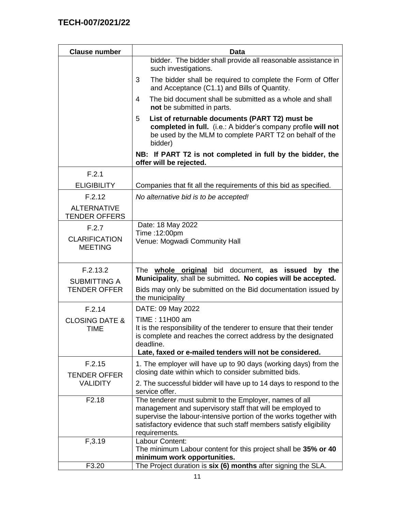| <b>Clause number</b>                       | <b>Data</b>                                                                                                                                                                                                                                                                    |
|--------------------------------------------|--------------------------------------------------------------------------------------------------------------------------------------------------------------------------------------------------------------------------------------------------------------------------------|
|                                            | bidder. The bidder shall provide all reasonable assistance in<br>such investigations.                                                                                                                                                                                          |
|                                            | The bidder shall be required to complete the Form of Offer<br>3<br>and Acceptance (C1.1) and Bills of Quantity.                                                                                                                                                                |
|                                            | The bid document shall be submitted as a whole and shall<br>4<br>not be submitted in parts.                                                                                                                                                                                    |
|                                            | 5<br>List of returnable documents (PART T2) must be<br>completed in full. (i.e.: A bidder's company profile will not<br>be used by the MLM to complete PART T2 on behalf of the<br>bidder)                                                                                     |
|                                            | NB: If PART T2 is not completed in full by the bidder, the<br>offer will be rejected.                                                                                                                                                                                          |
| F.2.1                                      |                                                                                                                                                                                                                                                                                |
| <b>ELIGIBILITY</b>                         | Companies that fit all the requirements of this bid as specified.                                                                                                                                                                                                              |
| F.2.12                                     | No alternative bid is to be accepted!                                                                                                                                                                                                                                          |
| <b>ALTERNATIVE</b><br><b>TENDER OFFERS</b> |                                                                                                                                                                                                                                                                                |
| F.2.7                                      | Date: 18 May 2022                                                                                                                                                                                                                                                              |
| <b>CLARIFICATION</b><br><b>MEETING</b>     | Time: 12:00pm<br>Venue: Mogwadi Community Hall                                                                                                                                                                                                                                 |
| F.2.13.2                                   | The whole original bid document, as issued<br>the<br>by<br>Municipality, shall be submitted. No copies will be accepted.                                                                                                                                                       |
| <b>SUBMITTING A</b><br><b>TENDER OFFER</b> | Bids may only be submitted on the Bid documentation issued by<br>the municipality                                                                                                                                                                                              |
| F.2.14                                     | DATE: 09 May 2022                                                                                                                                                                                                                                                              |
| <b>CLOSING DATE &amp;</b><br><b>TIME</b>   | TIME: 11H00 am<br>It is the responsibility of the tenderer to ensure that their tender<br>is complete and reaches the correct address by the designated<br>deadline.<br>Late, faxed or e-mailed tenders will not be considered.                                                |
| F.2.15                                     | 1. The employer will have up to 90 days (working days) from the<br>closing date within which to consider submitted bids.                                                                                                                                                       |
| <b>TENDER OFFER</b><br><b>VALIDITY</b>     | 2. The successful bidder will have up to 14 days to respond to the<br>service offer.                                                                                                                                                                                           |
| F <sub>2.18</sub>                          | The tenderer must submit to the Employer, names of all<br>management and supervisory staff that will be employed to<br>supervise the labour-intensive portion of the works together with<br>satisfactory evidence that such staff members satisfy eligibility<br>requirements. |
| F, 3.19                                    | Labour Content:                                                                                                                                                                                                                                                                |
|                                            | The minimum Labour content for this project shall be 35% or 40<br>minimum work opportunities.                                                                                                                                                                                  |
| F3.20                                      | The Project duration is six (6) months after signing the SLA.                                                                                                                                                                                                                  |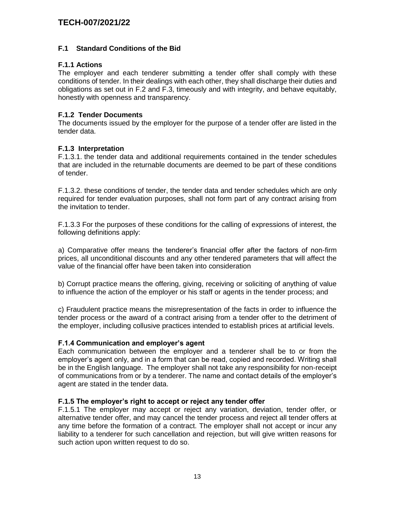### **F.1 Standard Conditions of the Bid**

### **F.1.1 Actions**

The employer and each tenderer submitting a tender offer shall comply with these conditions of tender. In their dealings with each other, they shall discharge their duties and obligations as set out in F.2 and F.3, timeously and with integrity, and behave equitably, honestly with openness and transparency.

### **F.1.2 Tender Documents**

The documents issued by the employer for the purpose of a tender offer are listed in the tender data.

#### **F.1.3 Interpretation**

F.1.3.1. the tender data and additional requirements contained in the tender schedules that are included in the returnable documents are deemed to be part of these conditions of tender.

F.1.3.2. these conditions of tender, the tender data and tender schedules which are only required for tender evaluation purposes, shall not form part of any contract arising from the invitation to tender.

F.1.3.3 For the purposes of these conditions for the calling of expressions of interest, the following definitions apply:

a) Comparative offer means the tenderer's financial offer after the factors of non-firm prices, all unconditional discounts and any other tendered parameters that will affect the value of the financial offer have been taken into consideration

b) Corrupt practice means the offering, giving, receiving or soliciting of anything of value to influence the action of the employer or his staff or agents in the tender process; and

c) Fraudulent practice means the misrepresentation of the facts in order to influence the tender process or the award of a contract arising from a tender offer to the detriment of the employer, including collusive practices intended to establish prices at artificial levels.

#### **F.1.4 Communication and employer's agent**

Each communication between the employer and a tenderer shall be to or from the employer's agent only, and in a form that can be read, copied and recorded. Writing shall be in the English language. The employer shall not take any responsibility for non-receipt of communications from or by a tenderer. The name and contact details of the employer's agent are stated in the tender data.

#### **F.1.5 The employer's right to accept or reject any tender offer**

F.1.5.1 The employer may accept or reject any variation, deviation, tender offer, or alternative tender offer, and may cancel the tender process and reject all tender offers at any time before the formation of a contract. The employer shall not accept or incur any liability to a tenderer for such cancellation and rejection, but will give written reasons for such action upon written request to do so.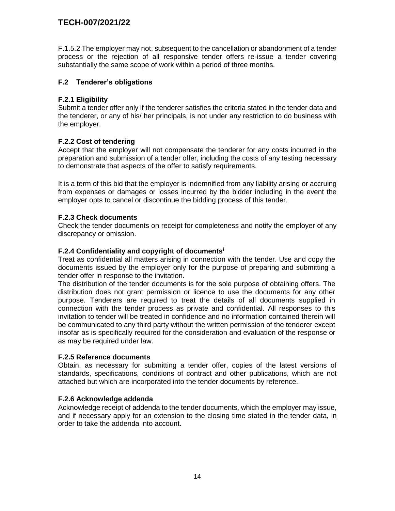F.1.5.2 The employer may not, subsequent to the cancellation or abandonment of a tender process or the rejection of all responsive tender offers re-issue a tender covering substantially the same scope of work within a period of three months.

### **F.2 Tenderer's obligations**

### **F.2.1 Eligibility**

Submit a tender offer only if the tenderer satisfies the criteria stated in the tender data and the tenderer, or any of his/ her principals, is not under any restriction to do business with the employer.

### **F.2.2 Cost of tendering**

Accept that the employer will not compensate the tenderer for any costs incurred in the preparation and submission of a tender offer, including the costs of any testing necessary to demonstrate that aspects of the offer to satisfy requirements.

It is a term of this bid that the employer is indemnified from any liability arising or accruing from expenses or damages or losses incurred by the bidder including in the event the employer opts to cancel or discontinue the bidding process of this tender.

### **F.2.3 Check documents**

Check the tender documents on receipt for completeness and notify the employer of any discrepancy or omission.

#### **F.2.4 Confidentiality and copyright of documents<sup>i</sup>**

Treat as confidential all matters arising in connection with the tender. Use and copy the documents issued by the employer only for the purpose of preparing and submitting a tender offer in response to the invitation.

The distribution of the tender documents is for the sole purpose of obtaining offers. The distribution does not grant permission or licence to use the documents for any other purpose. Tenderers are required to treat the details of all documents supplied in connection with the tender process as private and confidential. All responses to this invitation to tender will be treated in confidence and no information contained therein will be communicated to any third party without the written permission of the tenderer except insofar as is specifically required for the consideration and evaluation of the response or as may be required under law.

#### **F.2.5 Reference documents**

Obtain, as necessary for submitting a tender offer, copies of the latest versions of standards, specifications, conditions of contract and other publications, which are not attached but which are incorporated into the tender documents by reference.

#### **F.2.6 Acknowledge addenda**

Acknowledge receipt of addenda to the tender documents, which the employer may issue, and if necessary apply for an extension to the closing time stated in the tender data, in order to take the addenda into account.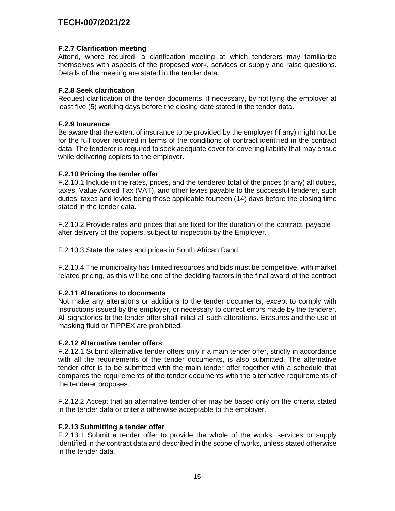#### **F.2.7 Clarification meeting**

Attend, where required, a clarification meeting at which tenderers may familiarize themselves with aspects of the proposed work, services or supply and raise questions. Details of the meeting are stated in the tender data.

#### **F.2.8 Seek clarification**

Request clarification of the tender documents, if necessary, by notifying the employer at least five (5) working days before the closing date stated in the tender data.

#### **F.2.9 Insurance**

Be aware that the extent of insurance to be provided by the employer (if any) might not be for the full cover required in terms of the conditions of contract identified in the contract data. The tenderer is required to seek adequate cover for covering liability that may ensue while delivering copiers to the employer.

#### **F.2.10 Pricing the tender offer**

F.2.10.1 Include in the rates, prices, and the tendered total of the prices (if any) all duties, taxes, Value Added Tax (VAT), and other levies payable to the successful tenderer, such duties, taxes and levies being those applicable fourteen (14) days before the closing time stated in the tender data.

F.2.10.2 Provide rates and prices that are fixed for the duration of the contract, payable after delivery of the copiers, subject to inspection by the Employer.

F.2.10.3 State the rates and prices in South African Rand.

F.2.10.4 The municipality has limited resources and bids must be competitive, with market related pricing, as this will be one of the deciding factors in the final award of the contract

#### **F.2.11 Alterations to documents**

Not make any alterations or additions to the tender documents, except to comply with instructions issued by the employer, or necessary to correct errors made by the tenderer. All signatories to the tender offer shall initial all such alterations. Erasures and the use of masking fluid or TIPPEX are prohibited.

#### **F.2.12 Alternative tender offers**

F.2.12.1 Submit alternative tender offers only if a main tender offer, strictly in accordance with all the requirements of the tender documents, is also submitted. The alternative tender offer is to be submitted with the main tender offer together with a schedule that compares the requirements of the tender documents with the alternative requirements of the tenderer proposes.

F.2.12.2 Accept that an alternative tender offer may be based only on the criteria stated in the tender data or criteria otherwise acceptable to the employer.

#### **F.2.13 Submitting a tender offer**

F.2.13.1 Submit a tender offer to provide the whole of the works, services or supply identified in the contract data and described in the scope of works, unless stated otherwise in the tender data.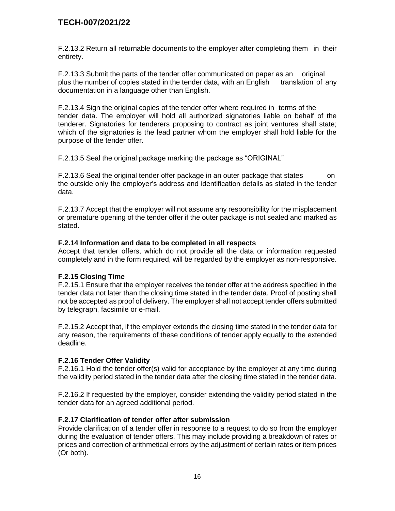F.2.13.2 Return all returnable documents to the employer after completing them in their entirety.

F.2.13.3 Submit the parts of the tender offer communicated on paper as an original plus the number of copies stated in the tender data, with an English translation of any documentation in a language other than English.

F.2.13.4 Sign the original copies of the tender offer where required in terms of the tender data. The employer will hold all authorized signatories liable on behalf of the tenderer. Signatories for tenderers proposing to contract as joint ventures shall state; which of the signatories is the lead partner whom the employer shall hold liable for the purpose of the tender offer.

F.2.13.5 Seal the original package marking the package as "ORIGINAL"

F.2.13.6 Seal the original tender offer package in an outer package that states on the outside only the employer's address and identification details as stated in the tender data.

F.2.13.7 Accept that the employer will not assume any responsibility for the misplacement or premature opening of the tender offer if the outer package is not sealed and marked as stated.

#### **F.2.14 Information and data to be completed in all respects**

Accept that tender offers, which do not provide all the data or information requested completely and in the form required, will be regarded by the employer as non-responsive.

#### **F.2.15 Closing Time**

F.2.15.1 Ensure that the employer receives the tender offer at the address specified in the tender data not later than the closing time stated in the tender data. Proof of posting shall not be accepted as proof of delivery. The employer shall not accept tender offers submitted by telegraph, facsimile or e-mail.

F.2.15.2 Accept that, if the employer extends the closing time stated in the tender data for any reason, the requirements of these conditions of tender apply equally to the extended deadline.

#### **F.2.16 Tender Offer Validity**

F.2.16.1 Hold the tender offer(s) valid for acceptance by the employer at any time during the validity period stated in the tender data after the closing time stated in the tender data.

F.2.16.2 If requested by the employer, consider extending the validity period stated in the tender data for an agreed additional period.

#### **F.2.17 Clarification of tender offer after submission**

Provide clarification of a tender offer in response to a request to do so from the employer during the evaluation of tender offers. This may include providing a breakdown of rates or prices and correction of arithmetical errors by the adjustment of certain rates or item prices (Or both).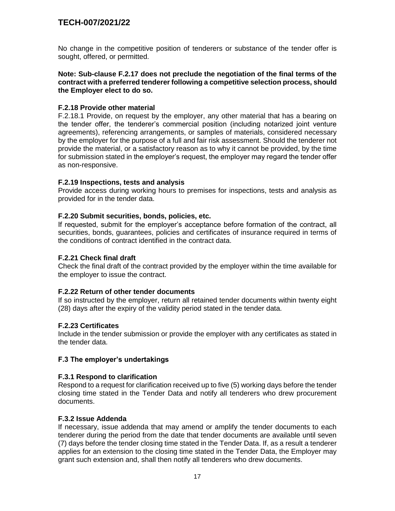No change in the competitive position of tenderers or substance of the tender offer is sought, offered, or permitted.

**Note: Sub-clause F.2.17 does not preclude the negotiation of the final terms of the contract with a preferred tenderer following a competitive selection process, should the Employer elect to do so.**

#### **F.2.18 Provide other material**

F.2.18.1 Provide, on request by the employer, any other material that has a bearing on the tender offer, the tenderer's commercial position (including notarized joint venture agreements), referencing arrangements, or samples of materials, considered necessary by the employer for the purpose of a full and fair risk assessment. Should the tenderer not provide the material, or a satisfactory reason as to why it cannot be provided, by the time for submission stated in the employer's request, the employer may regard the tender offer as non-responsive.

#### **F.2.19 Inspections, tests and analysis**

Provide access during working hours to premises for inspections, tests and analysis as provided for in the tender data.

#### **F.2.20 Submit securities, bonds, policies, etc.**

If requested, submit for the employer's acceptance before formation of the contract, all securities, bonds, guarantees, policies and certificates of insurance required in terms of the conditions of contract identified in the contract data.

#### **F.2.21 Check final draft**

Check the final draft of the contract provided by the employer within the time available for the employer to issue the contract.

#### **F.2.22 Return of other tender documents**

If so instructed by the employer, return all retained tender documents within twenty eight (28) days after the expiry of the validity period stated in the tender data.

#### **F.2.23 Certificates**

Include in the tender submission or provide the employer with any certificates as stated in the tender data.

#### **F.3 The employer's undertakings**

#### **F.3.1 Respond to clarification**

Respond to a request for clarification received up to five (5) working days before the tender closing time stated in the Tender Data and notify all tenderers who drew procurement documents.

#### **F.3.2 Issue Addenda**

If necessary, issue addenda that may amend or amplify the tender documents to each tenderer during the period from the date that tender documents are available until seven (7) days before the tender closing time stated in the Tender Data. If, as a result a tenderer applies for an extension to the closing time stated in the Tender Data, the Employer may grant such extension and, shall then notify all tenderers who drew documents.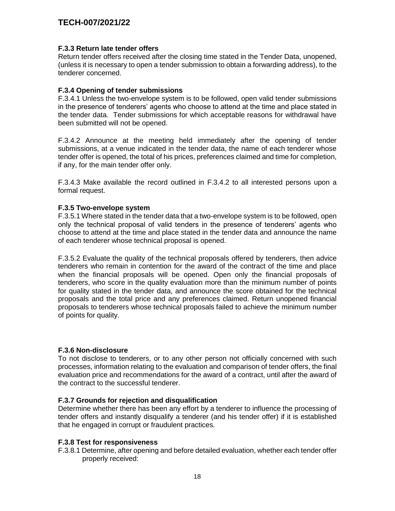#### **F.3.3 Return late tender offers**

Return tender offers received after the closing time stated in the Tender Data, unopened, (unless it is necessary to open a tender submission to obtain a forwarding address), to the tenderer concerned.

#### **F.3.4 Opening of tender submissions**

F.3.4.1 Unless the two-envelope system is to be followed, open valid tender submissions in the presence of tenderers' agents who choose to attend at the time and place stated in the tender data. Tender submissions for which acceptable reasons for withdrawal have been submitted will not be opened.

F.3.4.2 Announce at the meeting held immediately after the opening of tender submissions, at a venue indicated in the tender data, the name of each tenderer whose tender offer is opened, the total of his prices, preferences claimed and time for completion, if any, for the main tender offer only.

F.3.4.3 Make available the record outlined in F.3.4.2 to all interested persons upon a formal request.

#### **F.3.5 Two-envelope system**

F.3.5.1 Where stated in the tender data that a two-envelope system is to be followed, open only the technical proposal of valid tenders in the presence of tenderers' agents who choose to attend at the time and place stated in the tender data and announce the name of each tenderer whose technical proposal is opened.

F.3.5.2 Evaluate the quality of the technical proposals offered by tenderers, then advice tenderers who remain in contention for the award of the contract of the time and place when the financial proposals will be opened. Open only the financial proposals of tenderers, who score in the quality evaluation more than the minimum number of points for quality stated in the tender data, and announce the score obtained for the technical proposals and the total price and any preferences claimed. Return unopened financial proposals to tenderers whose technical proposals failed to achieve the minimum number of points for quality.

#### **F.3.6 Non-disclosure**

To not disclose to tenderers, or to any other person not officially concerned with such processes, information relating to the evaluation and comparison of tender offers, the final evaluation price and recommendations for the award of a contract, until after the award of the contract to the successful tenderer.

#### **F.3.7 Grounds for rejection and disqualification**

Determine whether there has been any effort by a tenderer to influence the processing of tender offers and instantly disqualify a tenderer (and his tender offer) if it is established that he engaged in corrupt or fraudulent practices.

#### **F.3.8 Test for responsiveness**

F.3.8.1 Determine, after opening and before detailed evaluation, whether each tender offer properly received: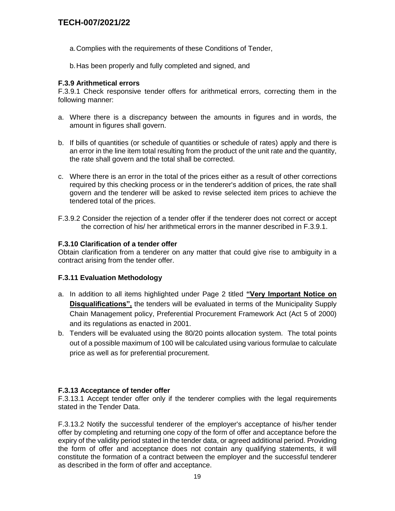- a.Complies with the requirements of these Conditions of Tender,
- b.Has been properly and fully completed and signed, and

#### **F.3.9 Arithmetical errors**

F.3.9.1 Check responsive tender offers for arithmetical errors, correcting them in the following manner:

- a. Where there is a discrepancy between the amounts in figures and in words, the amount in figures shall govern.
- b. If bills of quantities (or schedule of quantities or schedule of rates) apply and there is an error in the line item total resulting from the product of the unit rate and the quantity, the rate shall govern and the total shall be corrected.
- c. Where there is an error in the total of the prices either as a result of other corrections required by this checking process or in the tenderer's addition of prices, the rate shall govern and the tenderer will be asked to revise selected item prices to achieve the tendered total of the prices.
- F.3.9.2 Consider the rejection of a tender offer if the tenderer does not correct or accept the correction of his/ her arithmetical errors in the manner described in F.3.9.1.

#### **F.3.10 Clarification of a tender offer**

Obtain clarification from a tenderer on any matter that could give rise to ambiguity in a contract arising from the tender offer.

#### **F.3.11 Evaluation Methodology**

- a. In addition to all items highlighted under Page 2 titled **"Very Important Notice on Disqualifications",** the tenders will be evaluated in terms of the Municipality Supply Chain Management policy, Preferential Procurement Framework Act (Act 5 of 2000) and its regulations as enacted in 2001.
- b. Tenders will be evaluated using the 80/20 points allocation system. The total points out of a possible maximum of 100 will be calculated using various formulae to calculate price as well as for preferential procurement.

#### **F.3.13 Acceptance of tender offer**

F.3.13.1 Accept tender offer only if the tenderer complies with the legal requirements stated in the Tender Data.

F.3.13.2 Notify the successful tenderer of the employer's acceptance of his/her tender offer by completing and returning one copy of the form of offer and acceptance before the expiry of the validity period stated in the tender data, or agreed additional period. Providing the form of offer and acceptance does not contain any qualifying statements, it will constitute the formation of a contract between the employer and the successful tenderer as described in the form of offer and acceptance.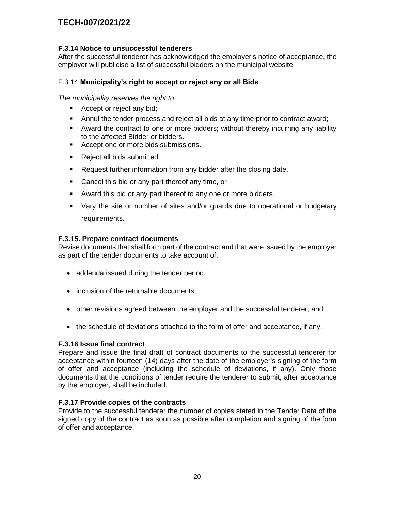### **F.3.14 Notice to unsuccessful tenderers**

After the successful tenderer has acknowledged the employer's notice of acceptance, the employer will publicise a list of successful bidders on the municipal website

### F.3.14 **Municipality's right to accept or reject any or all Bids**

*The municipality reserves the right to:*

- Accept or reject any bid;
- Annul the tender process and reject all bids at any time prior to contract award;
- Award the contract to one or more bidders; without thereby incurring any liability to the affected Bidder or bidders.
- Accept one or more bids submissions.
- Reject all bids submitted.
- **Request further information from any bidder after the closing date.**
- **Cancel this bid or any part thereof any time, or**
- Award this bid or any part thereof to any one or more bidders.
- Vary the site or number of sites and/or guards due to operational or budgetary requirements.

#### **F.3.15. Prepare contract documents**

Revise documents that shall form part of the contract and that were issued by the employer as part of the tender documents to take account of:

- addenda issued during the tender period,
- inclusion of the returnable documents,
- other revisions agreed between the employer and the successful tenderer, and
- the schedule of deviations attached to the form of offer and acceptance, if any.

#### **F.3.16 Issue final contract**

Prepare and issue the final draft of contract documents to the successful tenderer for acceptance within fourteen (14) days after the date of the employer's signing of the form of offer and acceptance (including the schedule of deviations, if any). Only those documents that the conditions of tender require the tenderer to submit, after acceptance by the employer, shall be included.

#### **F.3.17 Provide copies of the contracts**

Provide to the successful tenderer the number of copies stated in the Tender Data of the signed copy of the contract as soon as possible after completion and signing of the form of offer and acceptance.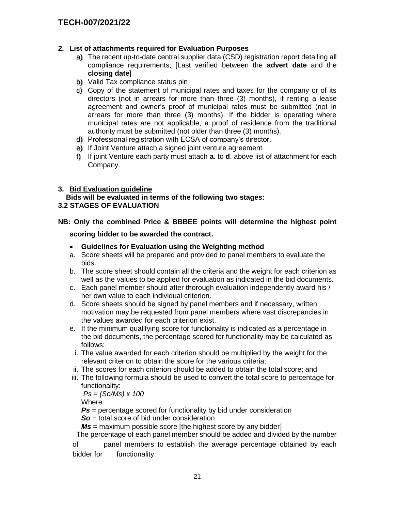## **2. List of attachments required for Evaluation Purposes**

- a) The recent up-to-date central supplier data (CSD) registration report detailing all compliance requirements; [Last verified between the **advert date** and the **closing date**]
- b) Valid Tax compliance status pin
- c) Copy of the statement of municipal rates and taxes for the company or of its directors (not in arrears for more than three (3) months), if renting a lease agreement and owner's proof of municipal rates must be submitted (not in arrears for more than three (3) months). If the bidder is operating where municipal rates are not applicable, a proof of residence from the traditional authority must be submitted (not older than three (3) months).
- d) Professional registration with ECSA of company's director.
- e) If Joint Venture attach a signed joint venture agreement
- f) If joint Venture each party must attach **a**. to **d**. above list of attachment for each Company.

### **3. Bid Evaluation guideline**

 **Bids will be evaluated in terms of the following two stages: 3.2 STAGES OF EVALUATION**

### **NB: Only the combined Price & BBBEE points will determine the highest point**

**scoring bidder to be awarded the contract.**

- **Guidelines for Evaluation using the Weighting method**
- a. Score sheets will be prepared and provided to panel members to evaluate the bids.
- b. The score sheet should contain all the criteria and the weight for each criterion as well as the values to be applied for evaluation as indicated in the bid documents.
- c. Each panel member should after thorough evaluation independently award his / her own value to each individual criterion.
- d. Score sheets should be signed by panel members and if necessary, written motivation may be requested from panel members where vast discrepancies in the values awarded for each criterion exist.
- e. If the minimum qualifying score for functionality is indicated as a percentage in the bid documents, the percentage scored for functionality may be calculated as follows:
- i. The value awarded for each criterion should be multiplied by the weight for the relevant criterion to obtain the score for the various criteria;
- ii. The scores for each criterion should be added to obtain the total score; and
- iii. The following formula should be used to convert the total score to percentage for functionality:

*Ps = (So/Ms) x 100*

Where:

**Ps** = percentage scored for functionality by bid under consideration

*So* = total score of bid under consideration

*Ms* = maximum possible score [the highest score by any bidder]

The percentage of each panel member should be added and divided by the number

of panel members to establish the average percentage obtained by each bidder for functionality.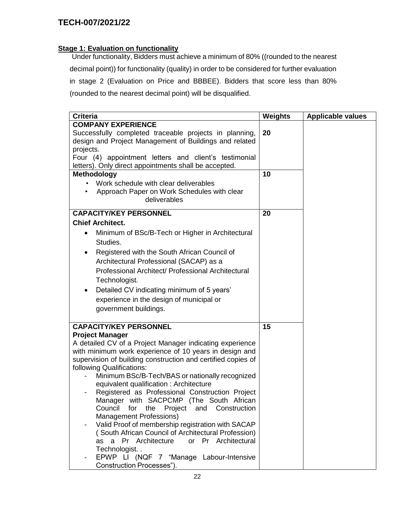### **Stage 1: Evaluation on functionality**

 Under functionality, Bidders must achieve a minimum of 80% ((rounded to the nearest decimal point)) for functionality (quality) in order to be considered for further evaluation in stage 2 (Evaluation on Price and BBBEE). Bidders that score less than 80% (rounded to the nearest decimal point) will be disqualified.

| <b>Criteria</b>                                                                                                                                                                                                                                 | <b>Weights</b> | <b>Applicable values</b> |
|-------------------------------------------------------------------------------------------------------------------------------------------------------------------------------------------------------------------------------------------------|----------------|--------------------------|
| <b>COMPANY EXPERIENCE</b>                                                                                                                                                                                                                       |                |                          |
| Successfully completed traceable projects in planning,<br>design and Project Management of Buildings and related<br>projects.<br>Four (4) appointment letters and client's testimonial<br>letters). Only direct appointments shall be accepted. | 20             |                          |
| Methodology                                                                                                                                                                                                                                     | 10             |                          |
| Work schedule with clear deliverables<br>Approach Paper on Work Schedules with clear<br>deliverables                                                                                                                                            |                |                          |
| <b>CAPACITY/KEY PERSONNEL</b>                                                                                                                                                                                                                   | 20             |                          |
| <b>Chief Architect.</b>                                                                                                                                                                                                                         |                |                          |
| Minimum of BSc/B-Tech or Higher in Architectural<br>$\bullet$<br>Studies.<br>Registered with the South African Council of                                                                                                                       |                |                          |
|                                                                                                                                                                                                                                                 |                |                          |
| Architectural Professional (SACAP) as a                                                                                                                                                                                                         |                |                          |
| Professional Architect/ Professional Architectural                                                                                                                                                                                              |                |                          |
| Technologist.                                                                                                                                                                                                                                   |                |                          |
| Detailed CV indicating minimum of 5 years'<br>$\bullet$                                                                                                                                                                                         |                |                          |
| experience in the design of municipal or                                                                                                                                                                                                        |                |                          |
| government buildings.                                                                                                                                                                                                                           |                |                          |
|                                                                                                                                                                                                                                                 |                |                          |
| <b>CAPACITY/KEY PERSONNEL</b>                                                                                                                                                                                                                   | 15             |                          |
| <b>Project Manager</b><br>A detailed CV of a Project Manager indicating experience                                                                                                                                                              |                |                          |
| with minimum work experience of 10 years in design and                                                                                                                                                                                          |                |                          |
| supervision of building construction and certified copies of                                                                                                                                                                                    |                |                          |
| following Qualifications:                                                                                                                                                                                                                       |                |                          |
| Minimum BSc/B-Tech/BAS or nationally recognized                                                                                                                                                                                                 |                |                          |
| equivalent qualification: Architecture                                                                                                                                                                                                          |                |                          |
| Registered as Professional Construction Project                                                                                                                                                                                                 |                |                          |
| Manager with SACPCMP (The South African                                                                                                                                                                                                         |                |                          |
| and Construction<br>Council<br>for<br>the<br>Project<br>Management Professions)                                                                                                                                                                 |                |                          |
| Valid Proof of membership registration with SACAP                                                                                                                                                                                               |                |                          |
| (South African Council of Architectural Profession)                                                                                                                                                                                             |                |                          |
| as a Pr Architecture<br>or Pr Architectural                                                                                                                                                                                                     |                |                          |
| Technologist                                                                                                                                                                                                                                    |                |                          |
| EPWP LI (NQF 7 "Manage Labour-Intensive                                                                                                                                                                                                         |                |                          |
| Construction Processes").                                                                                                                                                                                                                       |                |                          |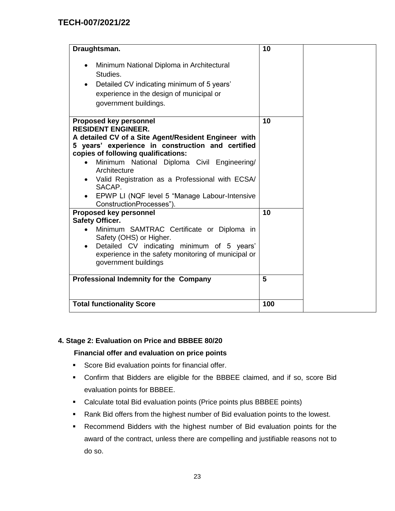| Draughtsman.                                                                                                                                                                                                                                                                                                                                                                                                            | 10  |  |
|-------------------------------------------------------------------------------------------------------------------------------------------------------------------------------------------------------------------------------------------------------------------------------------------------------------------------------------------------------------------------------------------------------------------------|-----|--|
| Minimum National Diploma in Architectural<br>$\bullet$<br>Studies.<br>Detailed CV indicating minimum of 5 years'<br>experience in the design of municipal or<br>government buildings.                                                                                                                                                                                                                                   |     |  |
| <b>Proposed key personnel</b><br><b>RESIDENT ENGINEER.</b><br>A detailed CV of a Site Agent/Resident Engineer with<br>5 years' experience in construction and certified<br>copies of following qualifications:<br>Minimum National Diploma Civil Engineering/<br>Architecture<br>Valid Registration as a Professional with ECSA/<br>SACAP.<br>EPWP LI (NQF level 5 "Manage Labour-Intensive<br>ConstructionProcesses"). | 10  |  |
| <b>Proposed key personnel</b><br><b>Safety Officer.</b><br>Minimum SAMTRAC Certificate or Diploma in<br>Safety (OHS) or Higher.<br>Detailed CV indicating minimum of 5 years'<br>$\bullet$<br>experience in the safety monitoring of municipal or<br>government buildings                                                                                                                                               | 10  |  |
| Professional Indemnity for the Company                                                                                                                                                                                                                                                                                                                                                                                  | 5   |  |
| <b>Total functionality Score</b>                                                                                                                                                                                                                                                                                                                                                                                        | 100 |  |

### **4. Stage 2: Evaluation on Price and BBBEE 80/20**

#### **Financial offer and evaluation on price points**

- **Score Bid evaluation points for financial offer.**
- Confirm that Bidders are eligible for the BBBEE claimed, and if so, score Bid evaluation points for BBBEE.
- Calculate total Bid evaluation points (Price points plus BBBEE points)
- Rank Bid offers from the highest number of Bid evaluation points to the lowest.
- Recommend Bidders with the highest number of Bid evaluation points for the award of the contract, unless there are compelling and justifiable reasons not to do so.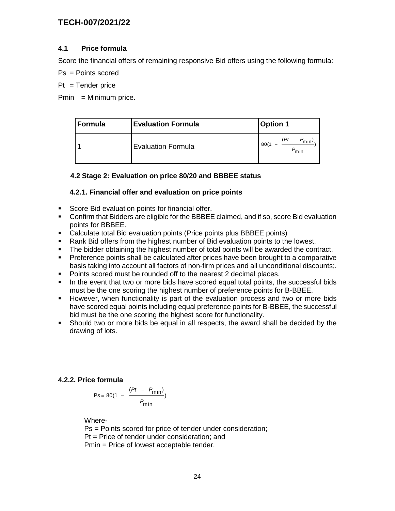### **4.1 Price formula**

Score the financial offers of remaining responsive Bid offers using the following formula:

Ps = Points scored

 $Pt = Tender price$ 

 $Pmin = Minimum price.$ 

| Formula | <b>Evaluation Formula</b> | <b>Option 1</b>                               |
|---------|---------------------------|-----------------------------------------------|
|         | <b>Evaluation Formula</b> | Έ<br>$- P_{\text{min}}$ )<br>80(1<br>o<br>min |

### **4.2 Stage 2: Evaluation on price 80/20 and BBBEE status**

#### **4.2.1. Financial offer and evaluation on price points**

- **Score Bid evaluation points for financial offer.**
- Confirm that Bidders are eligible for the BBBEE claimed, and if so, score Bid evaluation points for BBBEE.
- Calculate total Bid evaluation points (Price points plus BBBEE points)
- Rank Bid offers from the highest number of Bid evaluation points to the lowest.
- The bidder obtaining the highest number of total points will be awarded the contract.
- **Preference points shall be calculated after prices have been brought to a comparative** basis taking into account all factors of non-firm prices and all unconditional discounts;.
- **Points scored must be rounded off to the nearest 2 decimal places.**
- In the event that two or more bids have scored equal total points, the successful bids must be the one scoring the highest number of preference points for B-BBEE.
- However, when functionality is part of the evaluation process and two or more bids have scored equal points including equal preference points for B-BBEE, the successful bid must be the one scoring the highest score for functionality.
- Should two or more bids be equal in all respects, the award shall be decided by the drawing of lots.

#### **4.2.2. Price formula**

$$
Ps = 80(1 - \frac{(Pt - P_{min})}{P_{min}})
$$

Where-

Ps = Points scored for price of tender under consideration; Pt = Price of tender under consideration; and Pmin = Price of lowest acceptable tender.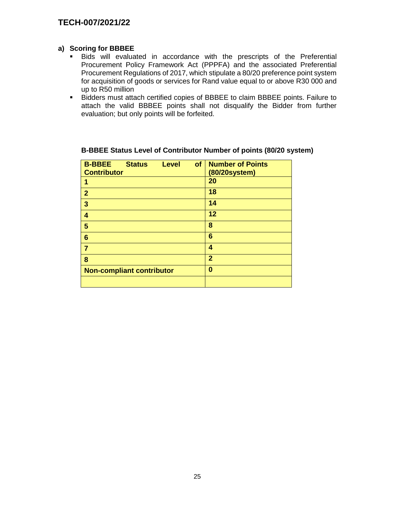#### **a) Scoring for BBBEE**

- Bids will evaluated in accordance with the prescripts of the Preferential Procurement Policy Framework Act (PPPFA) and the associated Preferential Procurement Regulations of 2017, which stipulate a 80/20 preference point system for acquisition of goods or services for Rand value equal to or above R30 000 and up to R50 million
- Bidders must attach certified copies of BBBEE to claim BBBEE points. Failure to attach the valid BBBEE points shall not disqualify the Bidder from further evaluation; but only points will be forfeited.

| of<br><b>B-BBEE</b><br><b>Status</b><br><b>Level</b> | <b>Number of Points</b> |
|------------------------------------------------------|-------------------------|
| <b>Contributor</b>                                   | (80/20system)           |
| 1                                                    | 20                      |
| $\mathbf{2}$                                         | 18                      |
| 3                                                    | 14                      |
| 4                                                    | 12                      |
| 5                                                    | 8                       |
| 6                                                    | 6                       |
| 7                                                    | 4                       |
| 8                                                    | $\overline{2}$          |
| <b>Non-compliant contributor</b>                     | 0                       |
|                                                      |                         |

## **B-BBEE Status Level of Contributor Number of points (80/20 system)**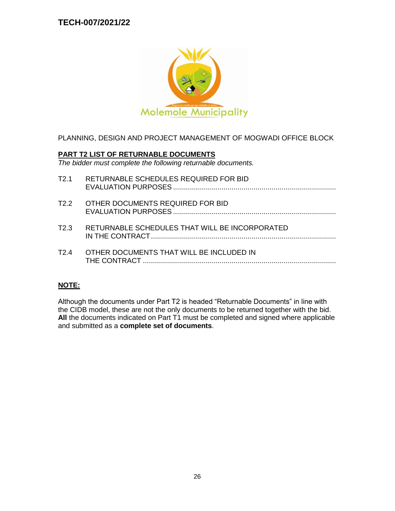

# PLANNING, DESIGN AND PROJECT MANAGEMENT OF MOGWADI OFFICE BLOCK

### **PART T2 LIST OF RETURNABLE DOCUMENTS**

*The bidder must complete the following returnable documents.*

| T2.1              | RETURNABLE SCHEDULES REQUIRED FOR BID          |
|-------------------|------------------------------------------------|
| T <sub>2.2</sub>  | OTHER DOCUMENTS REQUIRED FOR BID               |
| T <sub>2</sub> .3 | RETURNABLE SCHEDULES THAT WILL BE INCORPORATED |
| T <sub>2</sub> .4 | OTHER DOCUMENTS THAT WILL BE INCLUDED IN       |

## **NOTE:**

Although the documents under Part T2 is headed "Returnable Documents" in line with the CIDB model, these are not the only documents to be returned together with the bid. **All** the documents indicated on Part T1 must be completed and signed where applicable and submitted as a **complete set of documents**.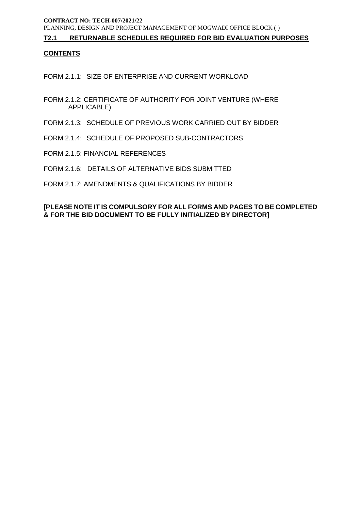#### **T2.1 RETURNABLE SCHEDULES REQUIRED FOR BID EVALUATION PURPOSES**

#### **CONTENTS**

FORM 2.1.1: SIZE OF ENTERPRISE AND CURRENT WORKLOAD

- FORM 2.1.2: CERTIFICATE OF AUTHORITY FOR JOINT VENTURE (WHERE APPLICABLE)
- FORM 2.1.3: SCHEDULE OF PREVIOUS WORK CARRIED OUT BY BIDDER
- FORM 2.1.4: SCHEDULE OF PROPOSED SUB-CONTRACTORS
- FORM 2.1.5: FINANCIAL REFERENCES
- FORM 2.1.6: DETAILS OF ALTERNATIVE BIDS SUBMITTED
- FORM 2.1.7: AMENDMENTS & QUALIFICATIONS BY BIDDER

#### **[PLEASE NOTE IT IS COMPULSORY FOR ALL FORMS AND PAGES TO BE COMPLETED & FOR THE BID DOCUMENT TO BE FULLY INITIALIZED BY DIRECTOR]**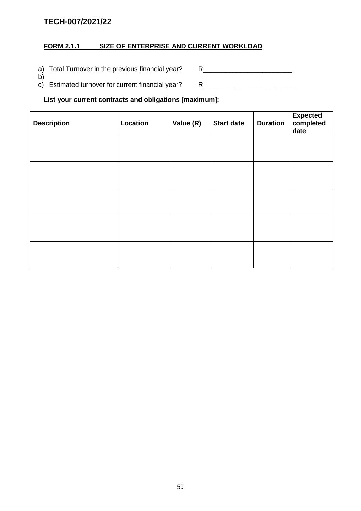# **FORM 2.1.1 SIZE OF ENTERPRISE AND CURRENT WORKLOAD**

a) Total Turnover in the previous financial year? R\_\_\_\_\_\_\_\_\_\_\_\_\_\_\_\_\_\_\_\_\_\_\_\_\_\_\_\_\_

b) c) Estimated turnover for current financial year? R \_\_\_\_\_\_\_\_\_\_\_\_\_\_\_\_\_\_\_

# **List your current contracts and obligations [maximum]:**

| <b>Description</b> | Location | Value (R) | <b>Start date</b> | <b>Duration</b> | Expected<br>completed<br>date |
|--------------------|----------|-----------|-------------------|-----------------|-------------------------------|
|                    |          |           |                   |                 |                               |
|                    |          |           |                   |                 |                               |
|                    |          |           |                   |                 |                               |
|                    |          |           |                   |                 |                               |
|                    |          |           |                   |                 |                               |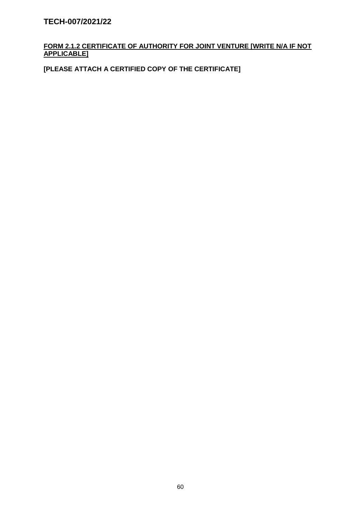## **FORM 2.1.2 CERTIFICATE OF AUTHORITY FOR JOINT VENTURE [WRITE N/A IF NOT APPLICABLE]**

**[PLEASE ATTACH A CERTIFIED COPY OF THE CERTIFICATE]**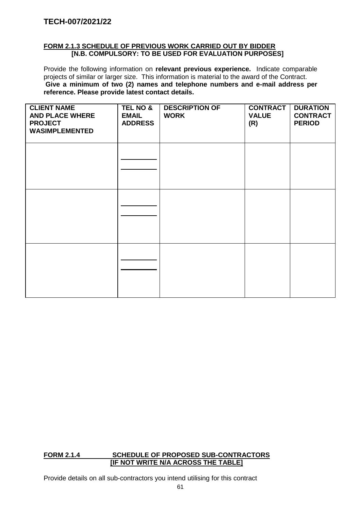#### **FORM 2.1.3 SCHEDULE OF PREVIOUS WORK CARRIED OUT BY BIDDER [N.B. COMPULSORY: TO BE USED FOR EVALUATION PURPOSES]**

Provide the following information on **relevant previous experience.** Indicate comparable projects of similar or larger size. This information is material to the award of the Contract. **Give a minimum of two (2) names and telephone numbers and e-mail address per reference. Please provide latest contact details.**

| <b>CLIENT NAME</b><br><b>AND PLACE WHERE</b><br><b>PROJECT</b><br><b>WASIMPLEMENTED</b> | TEL NO &<br><b>EMAIL</b><br><b>ADDRESS</b> | <b>DESCRIPTION OF</b><br><b>WORK</b> | <b>CONTRACT</b><br><b>VALUE</b><br>(R) | <b>DURATION</b><br><b>CONTRACT</b><br><b>PERIOD</b> |
|-----------------------------------------------------------------------------------------|--------------------------------------------|--------------------------------------|----------------------------------------|-----------------------------------------------------|
|                                                                                         |                                            |                                      |                                        |                                                     |
|                                                                                         |                                            |                                      |                                        |                                                     |
|                                                                                         |                                            |                                      |                                        |                                                     |

### **FORM 2.1.4 SCHEDULE OF PROPOSED SUB-CONTRACTORS [IF NOT WRITE N/A ACROSS THE TABLE]**

Provide details on all sub-contractors you intend utilising for this contract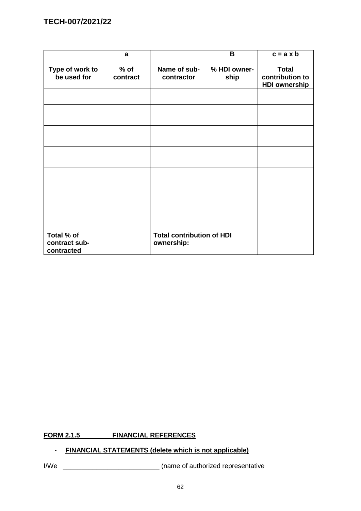|                                           | a                  |                                                | B                    | $c = a \times b$                                        |
|-------------------------------------------|--------------------|------------------------------------------------|----------------------|---------------------------------------------------------|
| Type of work to<br>be used for            | $%$ of<br>contract | Name of sub-<br>contractor                     | % HDI owner-<br>ship | <b>Total</b><br>contribution to<br><b>HDI ownership</b> |
|                                           |                    |                                                |                      |                                                         |
|                                           |                    |                                                |                      |                                                         |
|                                           |                    |                                                |                      |                                                         |
|                                           |                    |                                                |                      |                                                         |
|                                           |                    |                                                |                      |                                                         |
|                                           |                    |                                                |                      |                                                         |
|                                           |                    |                                                |                      |                                                         |
| Total % of<br>contract sub-<br>contracted |                    | <b>Total contribution of HDI</b><br>ownership: |                      |                                                         |

# **FORM 2.1.5 FINANCIAL REFERENCES**

# - **FINANCIAL STATEMENTS (delete which is not applicable)**

I/We \_\_\_\_\_\_\_\_\_\_\_\_\_\_\_\_\_\_\_\_\_\_\_\_\_\_ (name of authorized representative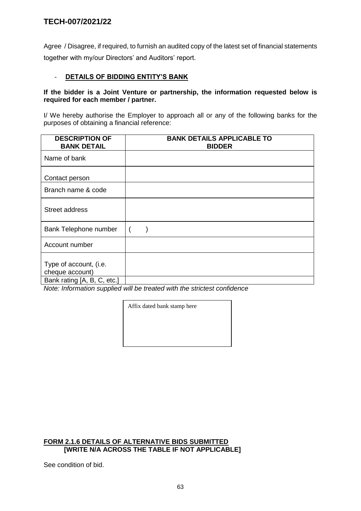Agree / Disagree, if required, to furnish an audited copy of the latest set of financial statements together with my/our Directors' and Auditors' report.

### - **DETAILS OF BIDDING ENTITY'S BANK**

#### **If the bidder is a Joint Venture or partnership, the information requested below is required for each member / partner.**

I/ We hereby authorise the Employer to approach all or any of the following banks for the purposes of obtaining a financial reference:

| <b>DESCRIPTION OF</b><br><b>BANK DETAIL</b>                              | <b>BANK DETAILS APPLICABLE TO</b><br><b>BIDDER</b> |
|--------------------------------------------------------------------------|----------------------------------------------------|
| Name of bank                                                             |                                                    |
| Contact person                                                           |                                                    |
| Branch name & code                                                       |                                                    |
| <b>Street address</b>                                                    |                                                    |
| Bank Telephone number                                                    | $\overline{\phantom{a}}$                           |
| Account number                                                           |                                                    |
| Type of account, (i.e.<br>cheque account)<br>Bank rating [A, B, C, etc.] |                                                    |

*Note: Information supplied will be treated with the strictest confidence*

Affix dated bank stamp here

#### **FORM 2.1.6 DETAILS OF ALTERNATIVE BIDS SUBMITTED [WRITE N/A ACROSS THE TABLE IF NOT APPLICABLE]**

See condition of bid.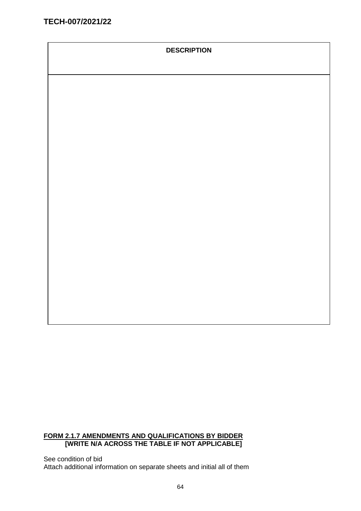### **DESCRIPTION**

### **FORM 2.1.7 AMENDMENTS AND QUALIFICATIONS BY BIDDER [WRITE N/A ACROSS THE TABLE IF NOT APPLICABLE]**

See condition of bid Attach additional information on separate sheets and initial all of them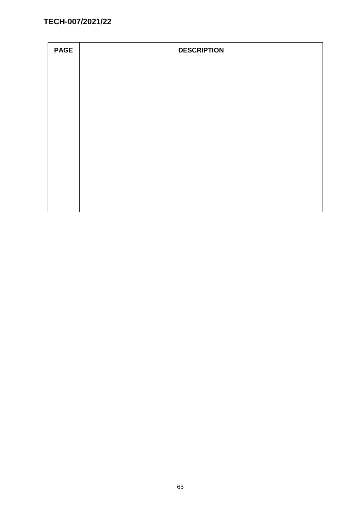| <b>PAGE</b> | <b>DESCRIPTION</b> |
|-------------|--------------------|
|             |                    |
|             |                    |
|             |                    |
|             |                    |
|             |                    |
|             |                    |
|             |                    |
|             |                    |
|             |                    |
|             |                    |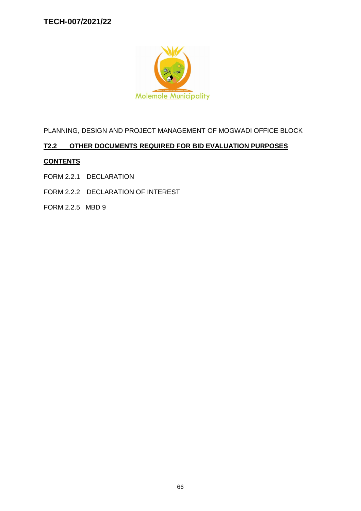

PLANNING, DESIGN AND PROJECT MANAGEMENT OF MOGWADI OFFICE BLOCK

# **T2.2 OTHER DOCUMENTS REQUIRED FOR BID EVALUATION PURPOSES**

# **CONTENTS**

- FORM 2.2.1 DECLARATION
- FORM 2.2.2 DECLARATION OF INTEREST
- FORM 2.2.5 MBD 9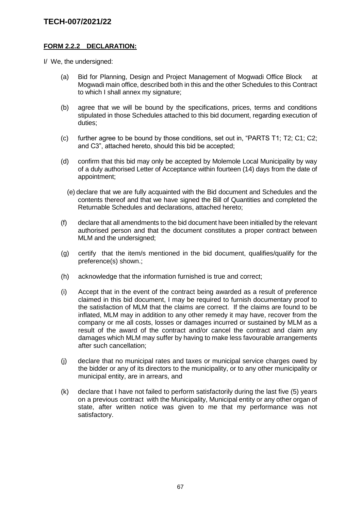### **FORM 2.2.2 DECLARATION:**

I/ We, the undersigned:

- (a) Bid for Planning, Design and Project Management of Mogwadi Office Block at Mogwadi main office, described both in this and the other Schedules to this Contract to which I shall annex my signature;
- (b) agree that we will be bound by the specifications, prices, terms and conditions stipulated in those Schedules attached to this bid document, regarding execution of duties;
- (c) further agree to be bound by those conditions, set out in, "PARTS T1; T2; C1; C2; and C3", attached hereto, should this bid be accepted;
- (d) confirm that this bid may only be accepted by Molemole Local Municipality by way of a duly authorised Letter of Acceptance within fourteen (14) days from the date of appointment;
	- (e) declare that we are fully acquainted with the Bid document and Schedules and the contents thereof and that we have signed the Bill of Quantities and completed the Returnable Schedules and declarations, attached hereto;
- (f) declare that all amendments to the bid document have been initialled by the relevant authorised person and that the document constitutes a proper contract between MLM and the undersigned;
- (g) certify that the item/s mentioned in the bid document, qualifies/qualify for the preference(s) shown.;
- (h) acknowledge that the information furnished is true and correct;
- (i) Accept that in the event of the contract being awarded as a result of preference claimed in this bid document, I may be required to furnish documentary proof to the satisfaction of MLM that the claims are correct. If the claims are found to be inflated, MLM may in addition to any other remedy it may have, recover from the company or me all costs, losses or damages incurred or sustained by MLM as a result of the award of the contract and/or cancel the contract and claim any damages which MLM may suffer by having to make less favourable arrangements after such cancellation;
- (j) declare that no municipal rates and taxes or municipal service charges owed by the bidder or any of its directors to the municipality, or to any other municipality or municipal entity, are in arrears, and
- (k) declare that I have not failed to perform satisfactorily during the last five (5) years on a previous contract with the Municipality, Municipal entity or any other organ of state, after written notice was given to me that my performance was not satisfactory.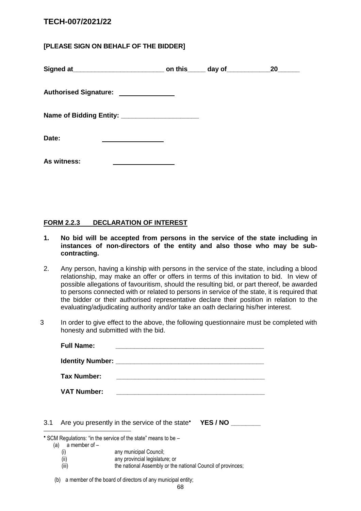# **[PLEASE SIGN ON BEHALF OF THE BIDDER]**

|                                                 |  | 20 |
|-------------------------------------------------|--|----|
| Authorised Signature: ______________            |  |    |
| Name of Bidding Entity: _______________________ |  |    |
| Date:                                           |  |    |
| As witness:                                     |  |    |

#### **FORM 2.2.3 DECLARATION OF INTEREST**

- **1. No bid will be accepted from persons in the service of the state including in instances of non-directors of the entity and also those who may be subcontracting.**
- 2. Any person, having a kinship with persons in the service of the state, including a blood relationship, may make an offer or offers in terms of this invitation to bid. In view of possible allegations of favouritism, should the resulting bid, or part thereof, be awarded to persons connected with or related to persons in service of the state, it is required that the bidder or their authorised representative declare their position in relation to the evaluating/adjudicating authority and/or take an oath declaring his/her interest.
- 3 In order to give effect to the above, the following questionnaire must be completed with honesty and submitted with the bid.

| <b>Full Name:</b>  |                                                                                                                       |
|--------------------|-----------------------------------------------------------------------------------------------------------------------|
|                    |                                                                                                                       |
| Tax Number:        |                                                                                                                       |
| <b>VAT Number:</b> | <u> 1980 - Jan Berlin, margaret amerikan basar dan berlindari dalam personal dan berlindas dan berlindas dan berl</u> |

3.1 Are you presently in the service of the state **YES / NO \_\_\_\_\_\_\_\_** 

SCM Regulations: "in the service of the state" means to be –

(a)  $\bar{a}$  member of  $-$ 

1

- (i) any municipal Council;
- (ii) any provincial legislature; or
- (iii) the national Assembly or the national Council of provinces;

(b) a member of the board of directors of any municipal entity;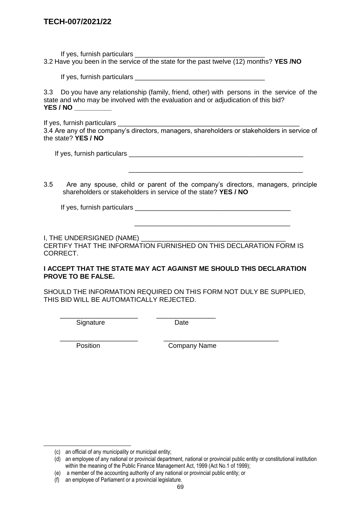If yes, furnish particulars \_\_\_\_\_\_\_\_\_\_\_\_\_\_\_\_\_\_\_\_\_\_\_\_\_\_\_\_\_\_\_\_\_\_\_ 3.2 Have you been in the service of the state for the past twelve (12) months? **YES /NO**

If yes, furnish particulars **Example 20** Figures 1.

3.3 Do you have any relationship (family, friend, other) with persons in the service of the state and who may be involved with the evaluation and or adjudication of this bid? **YES / NO \_\_\_\_\_\_\_\_\_\_**

If yes, furnish particulars \_\_\_\_\_\_\_\_\_\_\_\_\_\_\_\_\_\_\_\_\_\_\_\_\_\_\_\_\_\_\_\_\_\_\_\_\_\_\_\_\_\_\_\_\_\_\_\_\_

3.4 Are any of the company's directors, managers, shareholders or stakeholders in service of the state? **YES / NO**

If yes, furnish particulars \_\_\_\_\_\_\_\_\_\_\_\_\_\_\_\_\_\_\_\_\_\_\_\_\_\_\_\_\_\_\_\_\_\_\_\_\_\_\_\_\_\_\_\_\_\_\_

3.5 Are any spouse, child or parent of the company's directors, managers, principle shareholders or stakeholders in service of the state? **YES / NO**

 $\frac{1}{2}$  ,  $\frac{1}{2}$  ,  $\frac{1}{2}$  ,  $\frac{1}{2}$  ,  $\frac{1}{2}$  ,  $\frac{1}{2}$  ,  $\frac{1}{2}$  ,  $\frac{1}{2}$  ,  $\frac{1}{2}$  ,  $\frac{1}{2}$  ,  $\frac{1}{2}$  ,  $\frac{1}{2}$  ,  $\frac{1}{2}$  ,  $\frac{1}{2}$  ,  $\frac{1}{2}$  ,  $\frac{1}{2}$  ,  $\frac{1}{2}$  ,  $\frac{1}{2}$  ,  $\frac{1$ 

If yes, furnish particulars **Example 20** and the set of the set of the set of the set of the set of the set of the set of the set of the set of the set of the set of the set of the set of the set of the set of the set of t

I, THE UNDERSIGNED (NAME)

CERTIFY THAT THE INFORMATION FURNISHED ON THIS DECLARATION FORM IS CORRECT.

 $\overline{\phantom{a}}$  ,  $\overline{\phantom{a}}$  ,  $\overline{\phantom{a}}$  ,  $\overline{\phantom{a}}$  ,  $\overline{\phantom{a}}$  ,  $\overline{\phantom{a}}$  ,  $\overline{\phantom{a}}$  ,  $\overline{\phantom{a}}$  ,  $\overline{\phantom{a}}$  ,  $\overline{\phantom{a}}$  ,  $\overline{\phantom{a}}$  ,  $\overline{\phantom{a}}$  ,  $\overline{\phantom{a}}$  ,  $\overline{\phantom{a}}$  ,  $\overline{\phantom{a}}$  ,  $\overline{\phantom{a}}$ 

#### **I ACCEPT THAT THE STATE MAY ACT AGAINST ME SHOULD THIS DECLARATION PROVE TO BE FALSE.**

SHOULD THE INFORMATION REQUIRED ON THIS FORM NOT DULY BE SUPPLIED, THIS BID WILL BE AUTOMATICALLY REJECTED.

\_\_\_\_\_\_\_\_\_\_\_\_\_\_\_\_\_\_\_\_\_ \_\_\_\_\_\_\_\_\_\_\_\_\_\_\_\_ Signature Date

\_\_\_\_\_\_\_\_\_\_\_\_\_\_\_\_\_\_\_\_\_ \_\_\_\_\_\_\_\_\_\_\_\_\_\_\_\_\_\_\_\_\_\_\_\_\_\_\_\_\_\_\_

-

Position **Company Name** 

<sup>(</sup>c) an official of any municipality or municipal entity;

<sup>(</sup>d) an employee of any national or provincial department, national or provincial public entity or constitutional institution within the meaning of the Public Finance Management Act, 1999 (Act No.1 of 1999);

<sup>(</sup>e) a member of the accounting authority of any national or provincial public entity; or

<sup>(</sup>f) an employee of Parliament or a provincial legislature.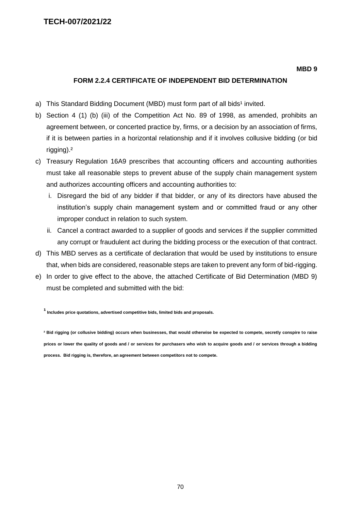#### **MBD 9**

#### **FORM 2.2.4 CERTIFICATE OF INDEPENDENT BID DETERMINATION**

- a) This Standard Bidding Document (MBD) must form part of all bids<sup>1</sup> invited.
- b) Section 4 (1) (b) (iii) of the Competition Act No. 89 of 1998, as amended, prohibits an agreement between, or concerted practice by, firms, or a decision by an association of firms, if it is between parties in a horizontal relationship and if it involves collusive bidding (or bid rigging).²
- c) Treasury Regulation 16A9 prescribes that accounting officers and accounting authorities must take all reasonable steps to prevent abuse of the supply chain management system and authorizes accounting officers and accounting authorities to:
	- i. Disregard the bid of any bidder if that bidder, or any of its directors have abused the institution's supply chain management system and or committed fraud or any other improper conduct in relation to such system.
	- ii. Cancel a contract awarded to a supplier of goods and services if the supplier committed any corrupt or fraudulent act during the bidding process or the execution of that contract.
- d) This MBD serves as a certificate of declaration that would be used by institutions to ensure that, when bids are considered, reasonable steps are taken to prevent any form of bid-rigging.
- e) In order to give effect to the above, the attached Certificate of Bid Determination (MBD 9) must be completed and submitted with the bid:

**¹ Includes price quotations, advertised competitive bids, limited bids and proposals.**

**² Bid rigging (or collusive bidding) occurs when businesses, that would otherwise be expected to compete, secretly conspire to raise prices or lower the quality of goods and / or services for purchasers who wish to acquire goods and / or services through a bidding process. Bid rigging is, therefore, an agreement between competitors not to compete.**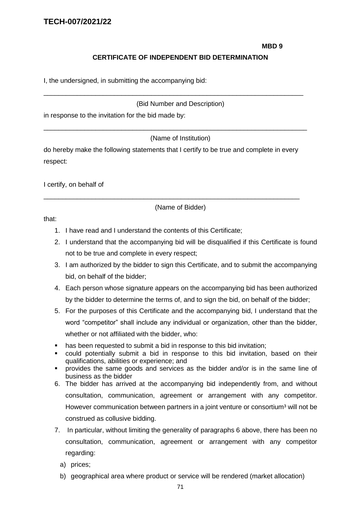#### **MBD 9**

### **CERTIFICATE OF INDEPENDENT BID DETERMINATION**

I, the undersigned, in submitting the accompanying bid:

#### (Bid Number and Description)

\_\_\_\_\_\_\_\_\_\_\_\_\_\_\_\_\_\_\_\_\_\_\_\_\_\_\_\_\_\_\_\_\_\_\_\_\_\_\_\_\_\_\_\_\_\_\_\_\_\_\_\_\_\_\_\_\_\_\_\_\_\_\_\_\_\_\_\_\_\_

in response to the invitation for the bid made by:

(Name of Institution)

\_\_\_\_\_\_\_\_\_\_\_\_\_\_\_\_\_\_\_\_\_\_\_\_\_\_\_\_\_\_\_\_\_\_\_\_\_\_\_\_\_\_\_\_\_\_\_\_\_\_\_\_\_\_\_\_\_\_\_\_\_\_\_\_\_\_\_\_\_\_\_

do hereby make the following statements that I certify to be true and complete in every respect:

\_\_\_\_\_\_\_\_\_\_\_\_\_\_\_\_\_\_\_\_\_\_\_\_\_\_\_\_\_\_\_\_\_\_\_\_\_\_\_\_\_\_\_\_\_\_\_\_\_\_\_\_\_\_\_\_\_\_\_\_\_\_\_\_\_\_\_\_\_

I certify, on behalf of

(Name of Bidder)

that:

- 1. I have read and I understand the contents of this Certificate;
- 2. I understand that the accompanying bid will be disqualified if this Certificate is found not to be true and complete in every respect;
- 3. I am authorized by the bidder to sign this Certificate, and to submit the accompanying bid, on behalf of the bidder;
- 4. Each person whose signature appears on the accompanying bid has been authorized by the bidder to determine the terms of, and to sign the bid, on behalf of the bidder;
- 5. For the purposes of this Certificate and the accompanying bid, I understand that the word "competitor" shall include any individual or organization, other than the bidder, whether or not affiliated with the bidder, who:
- has been requested to submit a bid in response to this bid invitation;
- could potentially submit a bid in response to this bid invitation, based on their qualifications, abilities or experience; and
- provides the same goods and services as the bidder and/or is in the same line of business as the bidder
- 6. The bidder has arrived at the accompanying bid independently from, and without consultation, communication, agreement or arrangement with any competitor. However communication between partners in a joint venture or consortium<sup>3</sup> will not be construed as collusive bidding.
- 7. In particular, without limiting the generality of paragraphs 6 above, there has been no consultation, communication, agreement or arrangement with any competitor regarding:
	- a) prices;
	- b) geographical area where product or service will be rendered (market allocation)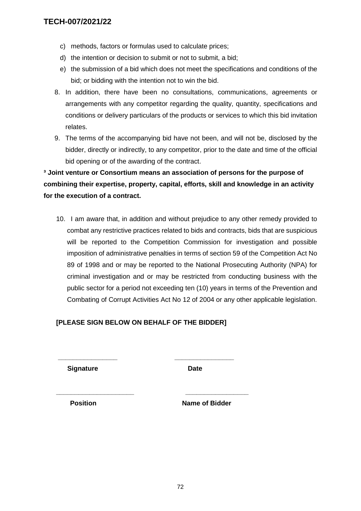- c) methods, factors or formulas used to calculate prices;
- d) the intention or decision to submit or not to submit, a bid;
- e) the submission of a bid which does not meet the specifications and conditions of the bid; or bidding with the intention not to win the bid.
- 8. In addition, there have been no consultations, communications, agreements or arrangements with any competitor regarding the quality, quantity, specifications and conditions or delivery particulars of the products or services to which this bid invitation relates.
- 9. The terms of the accompanying bid have not been, and will not be, disclosed by the bidder, directly or indirectly, to any competitor, prior to the date and time of the official bid opening or of the awarding of the contract.

**³ Joint venture or Consortium means an association of persons for the purpose of combining their expertise, property, capital, efforts, skill and knowledge in an activity for the execution of a contract.**

10. I am aware that, in addition and without prejudice to any other remedy provided to combat any restrictive practices related to bids and contracts, bids that are suspicious will be reported to the Competition Commission for investigation and possible imposition of administrative penalties in terms of section 59 of the Competition Act No 89 of 1998 and or may be reported to the National Prosecuting Authority (NPA) for criminal investigation and or may be restricted from conducting business with the public sector for a period not exceeding ten (10) years in terms of the Prevention and Combating of Corrupt Activities Act No 12 of 2004 or any other applicable legislation.

# **[PLEASE SIGN BELOW ON BEHALF OF THE BIDDER]**

**\_\_\_\_\_\_\_\_\_\_\_\_\_\_\_\_ \_\_\_\_\_\_\_\_\_\_\_\_\_\_\_\_**

**\_\_\_\_\_\_\_\_\_\_\_\_\_\_\_\_\_\_\_\_\_ \_\_\_\_\_\_\_\_\_\_\_\_\_\_\_\_\_**

**Signature Date** 

**Position Contract Position Rame of Bidder**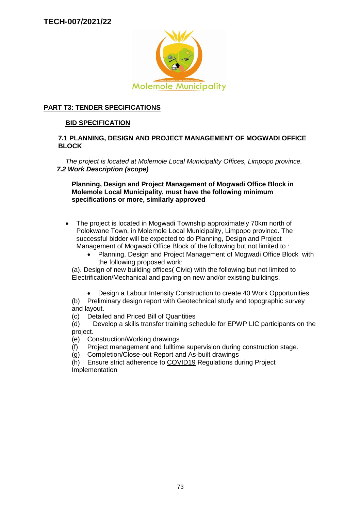

# **PART T3: TENDER SPECIFICATIONS**

### **BID SPECIFICATION**

#### **7.1 PLANNING, DESIGN AND PROJECT MANAGEMENT OF MOGWADI OFFICE BLOCK**

*The project is located at Molemole Local Municipality Offices, Limpopo province. 7.2 Work Description (scope)*

**Planning, Design and Project Management of Mogwadi Office Block in Molemole Local Municipality, must have the following minimum specifications or more, similarly approved**

- The project is located in Mogwadi Township approximately 70km north of Polokwane Town, in Molemole Local Municipality, Limpopo province. The successful bidder will be expected to do Planning, Design and Project Management of Mogwadi Office Block of the following but not limited to :
	- Planning, Design and Project Management of Mogwadi Office Block with the following proposed work:

(a). Design of new building offices( Civic) with the following but not limited to Electrification/Mechanical and paving on new and/or existing buildings.

Design a Labour Intensity Construction to create 40 Work Opportunities

(b) Preliminary design report with Geotechnical study and topographic survey and layout.

(c) Detailed and Priced Bill of Quantities

(d) Develop a skills transfer training schedule for EPWP LIC participants on the project.

(e) Construction/Working drawings

- (f) Project management and fulltime supervision during construction stage.
- (g) Completion/Close-out Report and As-built drawings

(h) Ensure strict adherence to COVID19 Regulations during Project Implementation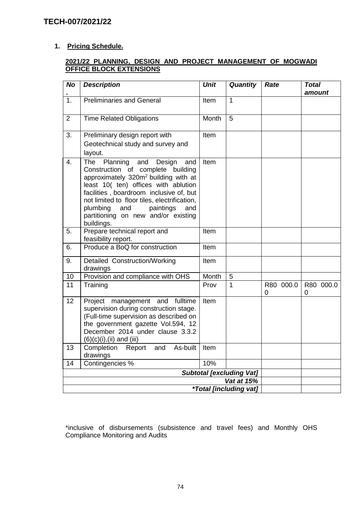# **1. Pricing Schedule.**

### **2021/22 PLANNING, DESIGN AND PROJECT MANAGEMENT OF MOGWADI OFFICE BLOCK EXTENSIONS**

| <b>No</b>        | <b>Description</b>                                                                                                                                                                                                                                                                                                                                              | <b>Unit</b> | <b>Quantity</b>                      | Rate           | <b>Total</b><br>amount |
|------------------|-----------------------------------------------------------------------------------------------------------------------------------------------------------------------------------------------------------------------------------------------------------------------------------------------------------------------------------------------------------------|-------------|--------------------------------------|----------------|------------------------|
| $\overline{1}$ . | <b>Preliminaries and General</b>                                                                                                                                                                                                                                                                                                                                | Item        | $\mathbf{1}$                         |                |                        |
| 2                | <b>Time Related Obligations</b>                                                                                                                                                                                                                                                                                                                                 | Month       | 5                                    |                |                        |
| 3.               | Preliminary design report with<br>Geotechnical study and survey and<br>layout.                                                                                                                                                                                                                                                                                  | Item        |                                      |                |                        |
| 4.               | The<br>Planning<br>and<br>Design<br>and<br>Construction of complete building<br>approximately 320m <sup>2</sup> building with at<br>least 10( ten) offices with ablution<br>facilities, boardroom inclusive of, but<br>not limited to floor tiles, electrification,<br>plumbing<br>paintings<br>and<br>and<br>partitioning on new and/or existing<br>buildings. | Item        |                                      |                |                        |
| 5.               | Prepare technical report and<br>feasibility report.                                                                                                                                                                                                                                                                                                             | Item        |                                      |                |                        |
| 6.               | Produce a BoQ for construction                                                                                                                                                                                                                                                                                                                                  | Item        |                                      |                |                        |
| 9.               | Detailed Construction/Working<br>drawings                                                                                                                                                                                                                                                                                                                       | Item        |                                      |                |                        |
| 10               | Provision and compliance with OHS                                                                                                                                                                                                                                                                                                                               | Month       | 5                                    |                |                        |
| 11               | Training                                                                                                                                                                                                                                                                                                                                                        | Prov        | 1                                    | R80 000.0<br>0 | R80 000.0<br>0         |
| 12               | fulltime<br>management and<br>Project<br>supervision during construction stage.<br>(Full-time supervision as described on<br>the government gazette Vol.594, 12<br>December 2014 under clause 3.3.2<br>$(6)(c)(i), (ii)$ and (iii)                                                                                                                              | Item        |                                      |                |                        |
| 13               | Completion Report and<br>As-built<br>drawings                                                                                                                                                                                                                                                                                                                   | Item        |                                      |                |                        |
| 14               | Contingencies %                                                                                                                                                                                                                                                                                                                                                 | 10%         |                                      |                |                        |
|                  |                                                                                                                                                                                                                                                                                                                                                                 |             | <b>Subtotal [excluding Vat]</b>      |                |                        |
|                  |                                                                                                                                                                                                                                                                                                                                                                 |             | Vat at 15%                           |                |                        |
|                  |                                                                                                                                                                                                                                                                                                                                                                 |             | <i><b>*Total [including vat]</b></i> |                |                        |

\*inclusive of disbursements (subsistence and travel fees) and Monthly OHS Compliance Monitoring and Audits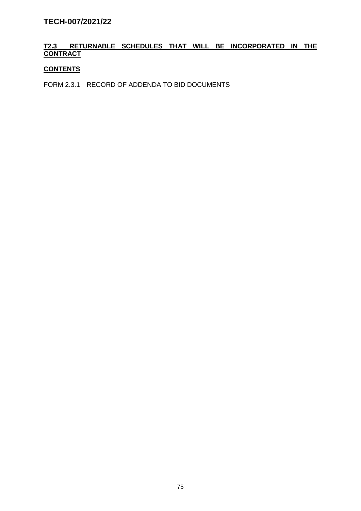# **T2.3 RETURNABLE SCHEDULES THAT WILL BE INCORPORATED IN THE CONTRACT**

### **CONTENTS**

FORM 2.3.1 RECORD OF ADDENDA TO BID DOCUMENTS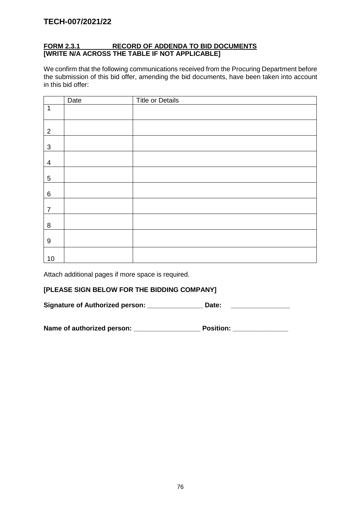# **FORM 2.3.1 RECORD OF ADDENDA TO BID DOCUMENTS [WRITE N/A ACROSS THE TABLE IF NOT APPLICABLE]**

We confirm that the following communications received from the Procuring Department before the submission of this bid offer, amending the bid documents, have been taken into account in this bid offer:

|                  | Date | <b>Title or Details</b> |
|------------------|------|-------------------------|
| $\mathbf 1$      |      |                         |
| $\overline{2}$   |      |                         |
| $\mathfrak{S}$   |      |                         |
| $\overline{4}$   |      |                         |
| 5                |      |                         |
| 6                |      |                         |
| $\overline{7}$   |      |                         |
| $\bf 8$          |      |                         |
| $\boldsymbol{9}$ |      |                         |
| $10$             |      |                         |

Attach additional pages if more space is required.

#### **[PLEASE SIGN BELOW FOR THE BIDDING COMPANY]**

Signature of Authorized person: \_\_\_\_\_\_\_\_\_\_\_\_\_\_\_\_\_ Date: \_\_\_\_\_\_\_\_\_\_\_\_\_\_\_\_\_\_\_\_\_\_\_\_\_

| Name of authorized person: | <b>Position:</b> |
|----------------------------|------------------|
|----------------------------|------------------|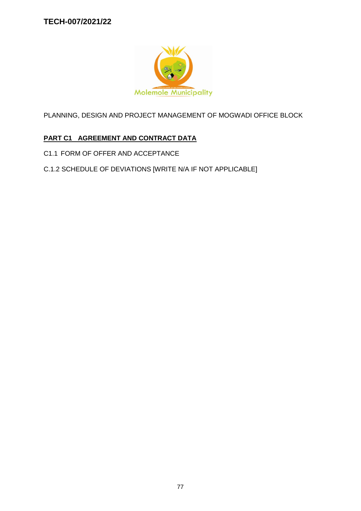

PLANNING, DESIGN AND PROJECT MANAGEMENT OF MOGWADI OFFICE BLOCK

# **PART C1 AGREEMENT AND CONTRACT DATA**

- C1.1 FORM OF OFFER AND ACCEPTANCE
- C.1.2 SCHEDULE OF DEVIATIONS [WRITE N/A IF NOT APPLICABLE]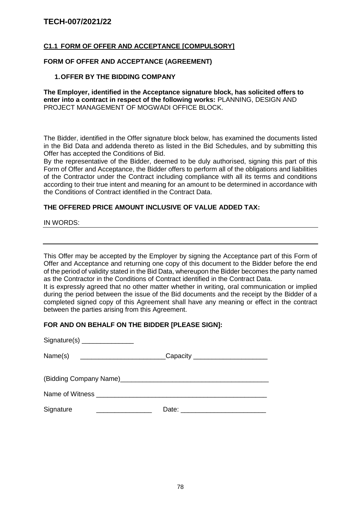### **C1.1 FORM OF OFFER AND ACCEPTANCE [COMPULSORY]**

#### **FORM OF OFFER AND ACCEPTANCE (AGREEMENT)**

#### **1.OFFER BY THE BIDDING COMPANY**

**The Employer, identified in the Acceptance signature block, has solicited offers to enter into a contract in respect of the following works:** PLANNING, DESIGN AND PROJECT MANAGEMENT OF MOGWADI OFFICE BLOCK.

The Bidder, identified in the Offer signature block below, has examined the documents listed in the Bid Data and addenda thereto as listed in the Bid Schedules, and by submitting this Offer has accepted the Conditions of Bid.

By the representative of the Bidder, deemed to be duly authorised, signing this part of this Form of Offer and Acceptance, the Bidder offers to perform all of the obligations and liabilities of the Contractor under the Contract including compliance with all its terms and conditions according to their true intent and meaning for an amount to be determined in accordance with the Conditions of Contract identified in the Contract Data.

#### **THE OFFERED PRICE AMOUNT INCLUSIVE OF VALUE ADDED TAX:**

IN WORDS:

This Offer may be accepted by the Employer by signing the Acceptance part of this Form of Offer and Acceptance and returning one copy of this document to the Bidder before the end of the period of validity stated in the Bid Data, whereupon the Bidder becomes the party named as the Contractor in the Conditions of Contract identified in the Contract Data.

It is expressly agreed that no other matter whether in writing, oral communication or implied during the period between the issue of the Bid documents and the receipt by the Bidder of a completed signed copy of this Agreement shall have any meaning or effect in the contract between the parties arising from this Agreement.

#### **FOR AND ON BEHALF ON THE BIDDER [PLEASE SIGN]:**

| Name(s)  __________________________Capacity _______________________                                                                 |  |
|-------------------------------------------------------------------------------------------------------------------------------------|--|
|                                                                                                                                     |  |
| Name of Witness _____________________________                                                                                       |  |
| Signature<br><u> 1980 - Jan Barbarat, manala</u> tar a basar a basar a basar a basar a basar a basar a basar a basar a basar a basa |  |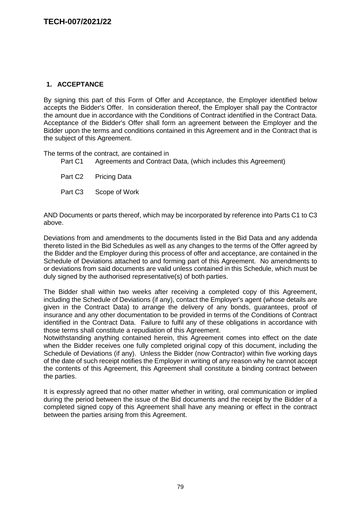## **1. ACCEPTANCE**

By signing this part of this Form of Offer and Acceptance, the Employer identified below accepts the Bidder's Offer. In consideration thereof, the Employer shall pay the Contractor the amount due in accordance with the Conditions of Contract identified in the Contract Data. Acceptance of the Bidder's Offer shall form an agreement between the Employer and the Bidder upon the terms and conditions contained in this Agreement and in the Contract that is the subject of this Agreement.

The terms of the contract, are contained in

Part C1 Agreements and Contract Data, (which includes this Agreement)

Part C2 Pricing Data

Part C3 Scope of Work

AND Documents or parts thereof, which may be incorporated by reference into Parts C1 to C3 above.

Deviations from and amendments to the documents listed in the Bid Data and any addenda thereto listed in the Bid Schedules as well as any changes to the terms of the Offer agreed by the Bidder and the Employer during this process of offer and acceptance, are contained in the Schedule of Deviations attached to and forming part of this Agreement. No amendments to or deviations from said documents are valid unless contained in this Schedule, which must be duly signed by the authorised representative(s) of both parties.

The Bidder shall within two weeks after receiving a completed copy of this Agreement, including the Schedule of Deviations (if any), contact the Employer's agent (whose details are given in the Contract Data) to arrange the delivery of any bonds, guarantees, proof of insurance and any other documentation to be provided in terms of the Conditions of Contract identified in the Contract Data. Failure to fulfil any of these obligations in accordance with those terms shall constitute a repudiation of this Agreement.

Notwithstanding anything contained herein, this Agreement comes into effect on the date when the Bidder receives one fully completed original copy of this document, including the Schedule of Deviations (if any). Unless the Bidder (now Contractor) within five working days of the date of such receipt notifies the Employer in writing of any reason why he cannot accept the contents of this Agreement, this Agreement shall constitute a binding contract between the parties.

It is expressly agreed that no other matter whether in writing, oral communication or implied during the period between the issue of the Bid documents and the receipt by the Bidder of a completed signed copy of this Agreement shall have any meaning or effect in the contract between the parties arising from this Agreement.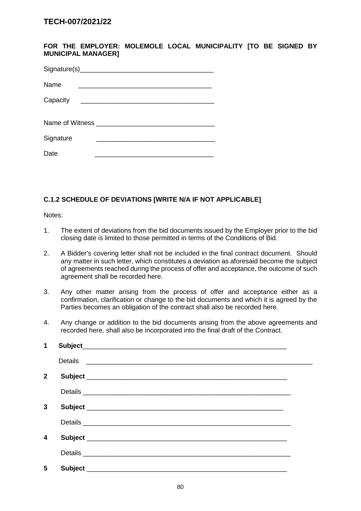**FOR THE EMPLOYER: MOLEMOLE LOCAL MUNICIPALITY [TO BE SIGNED BY MUNICIPAL MANAGER]**

| Name      |  |
|-----------|--|
| Capacity  |  |
|           |  |
| Signature |  |
| Date      |  |

# **C.1.2 SCHEDULE OF DEVIATIONS [WRITE N/A IF NOT APPLICABLE]**

Notes:

- 1. The extent of deviations from the bid documents issued by the Employer prior to the bid closing date is limited to those permitted in terms of the Conditions of Bid.
- 2. A Bidder's covering letter shall not be included in the final contract document. Should any matter in such letter, which constitutes a deviation as aforesaid become the subject of agreements reached during the process of offer and acceptance, the outcome of such agreement shall be recorded here.
- 3. Any other matter arising from the process of offer and acceptance either as a confirmation, clarification or change to the bid documents and which it is agreed by the Parties becomes an obligation of the contract shall also be recorded here.
- 4. Any change or addition to the bid documents arising from the above agreements and recorded here, shall also be incorporated into the final draft of the Contract.

| 1            |                                                                                                                                  |  |
|--------------|----------------------------------------------------------------------------------------------------------------------------------|--|
|              | Details<br><u> La Carlo de la Carlo de la Carlo de la Carlo de la Carlo de la Carlo de la Carlo de la Carlo de la Carlo de l</u> |  |
| $\mathbf{2}$ |                                                                                                                                  |  |
|              |                                                                                                                                  |  |
| 3            |                                                                                                                                  |  |
|              |                                                                                                                                  |  |
| 4            |                                                                                                                                  |  |
|              |                                                                                                                                  |  |
| 5            |                                                                                                                                  |  |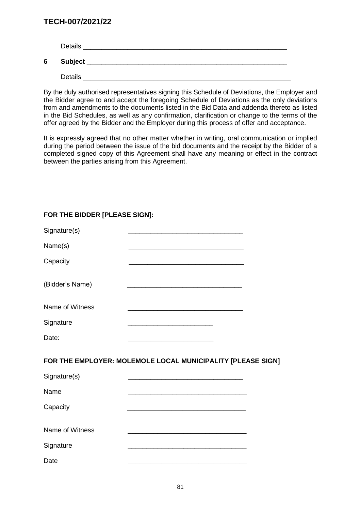|   | <b>Details</b> |
|---|----------------|
| 6 | <b>Subject</b> |
|   | Details        |

By the duly authorised representatives signing this Schedule of Deviations, the Employer and the Bidder agree to and accept the foregoing Schedule of Deviations as the only deviations from and amendments to the documents listed in the Bid Data and addenda thereto as listed in the Bid Schedules, as well as any confirmation, clarification or change to the terms of the offer agreed by the Bidder and the Employer during this process of offer and acceptance.

It is expressly agreed that no other matter whether in writing, oral communication or implied during the period between the issue of the bid documents and the receipt by the Bidder of a completed signed copy of this Agreement shall have any meaning or effect in the contract between the parties arising from this Agreement.

| Signature(s)    | <u> 1980 - Johann John Stone, mars eta bat eta bat erroman erroman erroman erroman erroman ez erroman erroman e</u>   |  |
|-----------------|-----------------------------------------------------------------------------------------------------------------------|--|
| Name(s)         |                                                                                                                       |  |
| Capacity        |                                                                                                                       |  |
| (Bidder's Name) | <u> 1989 - Johann Stein, margaret eta industrial eta industrial eta industrial eta industrial eta industrial eta</u>  |  |
| Name of Witness |                                                                                                                       |  |
| Signature       |                                                                                                                       |  |
| Date:           |                                                                                                                       |  |
|                 | FOR THE EMPLOYER: MOLEMOLE LOCAL MUNICIPALITY [PLEASE SIGN]                                                           |  |
| Signature(s)    |                                                                                                                       |  |
| Name            |                                                                                                                       |  |
| Capacity        | <u> 1989 - Johann Stoff, deutscher Stoff, der Stoff, der Stoff, der Stoff, der Stoff, der Stoff, der Stoff, der S</u> |  |
| Name of Witness |                                                                                                                       |  |
| Signature       | <u> 1989 - Johann Barbara, margaret eta idazlea (h. 1989).</u>                                                        |  |
| Date            |                                                                                                                       |  |

# **FOR THE BIDDER [PLEASE SIGN]:**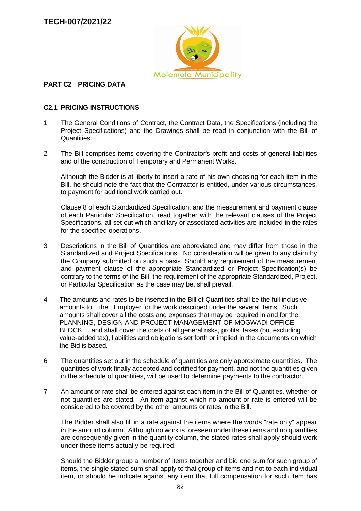

### **PART C2 PRICING DATA**

### **C2.1 PRICING INSTRUCTIONS**

- 1 The General Conditions of Contract, the Contract Data, the Specifications (including the Project Specifications) and the Drawings shall be read in conjunction with the Bill of Quantities.
- 2 The Bill comprises items covering the Contractor's profit and costs of general liabilities and of the construction of Temporary and Permanent Works.

Although the Bidder is at liberty to insert a rate of his own choosing for each item in the Bill, he should note the fact that the Contractor is entitled, under various circumstances, to payment for additional work carried out.

Clause 8 of each Standardized Specification, and the measurement and payment clause of each Particular Specification, read together with the relevant clauses of the Project Specifications, all set out which ancillary or associated activities are included in the rates for the specified operations.

- 3 Descriptions in the Bill of Quantities are abbreviated and may differ from those in the Standardized and Project Specifications. No consideration will be given to any claim by the Company submitted on such a basis. Should any requirement of the measurement and payment clause of the appropriate Standardized or Project Specification(s) be contrary to the terms of the Bill the requirement of the appropriate Standardized, Project, or Particular Specification as the case may be, shall prevail.
- 4 The amounts and rates to be inserted in the Bill of Quantities shall be the full inclusive amounts to the Employer for the work described under the several items. Such amounts shall cover all the costs and expenses that may be required in and for the: PLANNING, DESIGN AND PROJECT MANAGEMENT OF MOGWADI OFFICE BLOCK . and shall cover the costs of all general risks, profits, taxes (but excluding value-added tax), liabilities and obligations set forth or implied in the documents on which the Bid is based.
- 6 The quantities set out in the schedule of quantities are only approximate quantities. The quantities of work finally accepted and certified for payment, and not the quantities given in the schedule of quantities, will be used to determine payments to the contractor.
- 7 An amount or rate shall be entered against each item in the Bill of Quantities, whether or not quantities are stated. An item against which no amount or rate is entered will be considered to be covered by the other amounts or rates in the Bill.

The Bidder shall also fill in a rate against the items where the words "rate only" appear in the amount column. Although no work is foreseen under these items and no quantities are consequently given in the quantity column, the stated rates shall apply should work under these items actually be required.

Should the Bidder group a number of items together and bid one sum for such group of items, the single stated sum shall apply to that group of items and not to each individual item, or should he indicate against any item that full compensation for such item has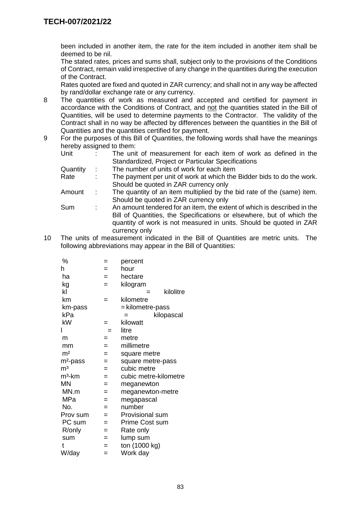been included in another item, the rate for the item included in another item shall be deemed to be nil.

The stated rates, prices and sums shall, subject only to the provisions of the Conditions of Contract, remain valid irrespective of any change in the quantities during the execution of the Contract.

Rates quoted are fixed and quoted in ZAR currency; and shall not in any way be affected by rand/dollar exchange rate or any currency.

- 8 The quantities of work as measured and accepted and certified for payment in accordance with the Conditions of Contract, and not the quantities stated in the Bill of Quantities, will be used to determine payments to the Contractor. The validity of the Contract shall in no way be affected by differences between the quantities in the Bill of Quantities and the quantities certified for payment.
- 9 For the purposes of this Bill of Quantities, the following words shall have the meanings hereby assigned to them:

| Unit     |   | The unit of measurement for each item of work as defined in the         |
|----------|---|-------------------------------------------------------------------------|
|          |   | Standardized, Project or Particular Specifications                      |
| Quantity | ÷ | The number of units of work for each item                               |
| Rate     | ÷ | The payment per unit of work at which the Bidder bids to do the work.   |
|          |   | Should be quoted in ZAR currency only                                   |
| Amount   | ÷ | The quantity of an item multiplied by the bid rate of the (same) item.  |
|          |   | Should be quoted in ZAR currency only                                   |
| Sum      | ÷ | An amount tendered for an item, the extent of which is described in the |
|          |   | Bill of Quantities, the Specifications or elsewhere, but of which the   |
|          |   | quantity of work is not measured in units. Should be quoted in ZAR      |
|          |   | currency only                                                           |

10 The units of measurement indicated in the Bill of Quantities are metric units. The following abbreviations may appear in the Bill of Quantities:

| %                    | =   | percent               |
|----------------------|-----|-----------------------|
| h                    | =   | hour                  |
| ha                   | $=$ | hectare               |
| kg                   | $=$ | kilogram              |
| kl                   |     | kilolitre<br>=        |
| km                   | $=$ | kilometre             |
| km-pass              |     | = kilometre-pass      |
| kPa                  |     | kilopascal<br>=       |
| kW                   | =   | kilowatt              |
|                      | $=$ | litre                 |
| m                    | =   | metre                 |
| mm                   | $=$ | millimetre            |
| m <sup>2</sup>       | $=$ | square metre          |
| m <sup>2</sup> -pass | $=$ | square metre-pass     |
| m <sup>3</sup>       | $=$ | cubic metre           |
| $m3$ -km             | $=$ | cubic metre-kilometre |
| MN                   | $=$ | meganewton            |
| MN.m                 | =   | meganewton-metre      |
| MPa                  | $=$ | megapascal            |
| No.                  | $=$ | number                |
| Prov sum             | $=$ | Provisional sum       |
| PC sum               | $=$ | <b>Prime Cost sum</b> |
| R/only               | $=$ | Rate only             |
| sum                  | =   | lump sum              |
| t                    | =   | ton (1000 kg)         |
| W/day                | =   | Work day              |
|                      |     |                       |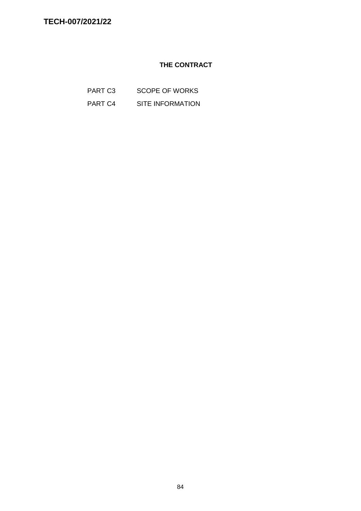# **THE CONTRACT**

- PART C3 SCOPE OF WORKS
- PART C4 SITE INFORMATION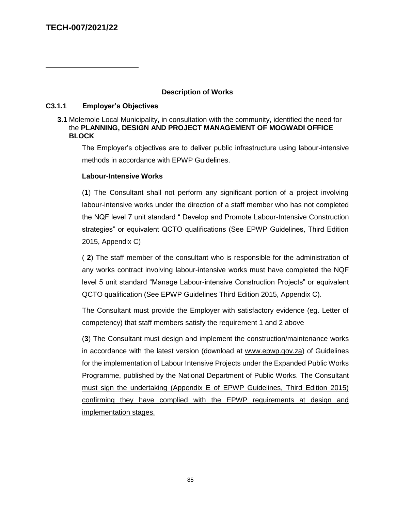$\overline{a}$ 

#### **Description of Works**

#### **C3.1.1 Employer's Objectives**

#### **3.1** Molemole Local Municipality, in consultation with the community, identified the need for the **PLANNING, DESIGN AND PROJECT MANAGEMENT OF MOGWADI OFFICE BLOCK**

The Employer's objectives are to deliver public infrastructure using labour-intensive methods in accordance with EPWP Guidelines.

#### **Labour-Intensive Works**

(**1**) The Consultant shall not perform any significant portion of a project involving labour-intensive works under the direction of a staff member who has not completed the NQF level 7 unit standard " Develop and Promote Labour-Intensive Construction strategies" or equivalent QCTO qualifications (See EPWP Guidelines, Third Edition 2015, Appendix C)

( **2**) The staff member of the consultant who is responsible for the administration of any works contract involving labour-intensive works must have completed the NQF level 5 unit standard "Manage Labour-intensive Construction Projects" or equivalent QCTO qualification (See EPWP Guidelines Third Edition 2015, Appendix C).

The Consultant must provide the Employer with satisfactory evidence (eg. Letter of competency) that staff members satisfy the requirement 1 and 2 above

(**3**) The Consultant must design and implement the construction/maintenance works in accordance with the latest version (download at [www.epwp.gov.za\)](http://www.epwp.gov.za/) of Guidelines for the implementation of Labour Intensive Projects under the Expanded Public Works Programme, published by the National Department of Public Works. The Consultant must sign the undertaking (Appendix E of EPWP Guidelines, Third Edition 2015) confirming they have complied with the EPWP requirements at design and implementation stages.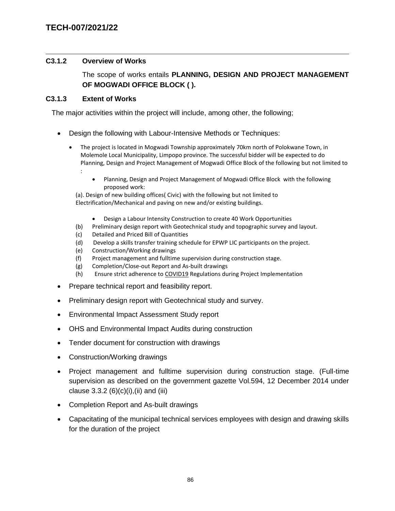#### $\overline{a}$ **C3.1.2 Overview of Works**

The scope of works entails **PLANNING, DESIGN AND PROJECT MANAGEMENT OF MOGWADI OFFICE BLOCK ( ).**

### **C3.1.3 Extent of Works**

The major activities within the project will include, among other, the following;

- Design the following with Labour-Intensive Methods or Techniques:
	- The project is located in Mogwadi Township approximately 70km north of Polokwane Town, in Molemole Local Municipality, Limpopo province. The successful bidder will be expected to do Planning, Design and Project Management of Mogwadi Office Block of the following but not limited to :
		- Planning, Design and Project Management of Mogwadi Office Block with the following proposed work:

(a). Design of new building offices( Civic) with the following but not limited to Electrification/Mechanical and paving on new and/or existing buildings.

- Design a Labour Intensity Construction to create 40 Work Opportunities
- (b) Preliminary design report with Geotechnical study and topographic survey and layout.
- (c) Detailed and Priced Bill of Quantities
- (d) Develop a skills transfer training schedule for EPWP LIC participants on the project.
- (e) Construction/Working drawings
- (f) Project management and fulltime supervision during construction stage.
- (g) Completion/Close-out Report and As-built drawings
- (h) Ensure strict adherence to COVID19 Regulations during Project Implementation
- Prepare technical report and feasibility report.
- Preliminary design report with Geotechnical study and survey.
- Environmental Impact Assessment Study report
- OHS and Environmental Impact Audits during construction
- Tender document for construction with drawings
- Construction/Working drawings
- Project management and fulltime supervision during construction stage. (Full-time supervision as described on the government gazette Vol.594, 12 December 2014 under clause  $3.3.2 (6)(c)(i)$ , (ii) and (iii)
- Completion Report and As-built drawings
- Capacitating of the municipal technical services employees with design and drawing skills for the duration of the project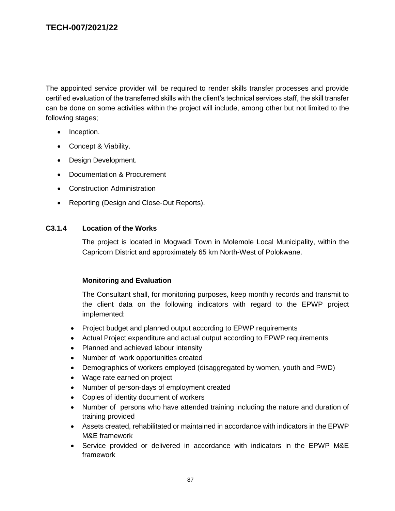$\overline{a}$ 

The appointed service provider will be required to render skills transfer processes and provide certified evaluation of the transferred skills with the client's technical services staff, the skill transfer can be done on some activities within the project will include, among other but not limited to the following stages;

- Inception.
- Concept & Viability.
- Design Development.
- Documentation & Procurement
- Construction Administration
- Reporting (Design and Close-Out Reports).

### **C3.1.4 Location of the Works**

The project is located in Mogwadi Town in Molemole Local Municipality, within the Capricorn District and approximately 65 km North-West of Polokwane.

### **Monitoring and Evaluation**

The Consultant shall, for monitoring purposes, keep monthly records and transmit to the client data on the following indicators with regard to the EPWP project implemented:

- Project budget and planned output according to EPWP requirements
- Actual Project expenditure and actual output according to EPWP requirements
- Planned and achieved labour intensity
- Number of work opportunities created
- Demographics of workers employed (disaggregated by women, youth and PWD)
- Wage rate earned on project
- Number of person-days of employment created
- Copies of identity document of workers
- Number of persons who have attended training including the nature and duration of training provided
- Assets created, rehabilitated or maintained in accordance with indicators in the EPWP M&E framework
- Service provided or delivered in accordance with indicators in the EPWP M&E framework